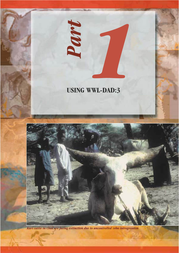

*Kuri cattle in Chad are facing extinction due to uncontrolled zebu introgression*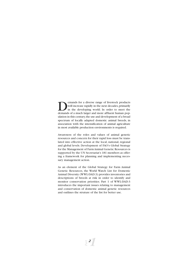emands for a diverse range of livestock products will increase rapidly in the next decades, primarily in the developing world. In order to meet the demands of a much larger and more affluent human population in this century,the use and development of a broad spectrum of locally adapted domestic animal breeds, in association with the intensification of animal agriculture in most available production environments is required.

Awareness of the roles and values of animal genetic resources and concern for their rapid loss must be translated into effective action at the local, national, regional and global levels. Development of FAO's Global Strategy for the Management of Farm Animal Genetic Resources is supported by the UN Secretariat's 181 members as offering a framework for planning and implementing necessary management action.

As an element of the Global Strategy for Farm Animal Genetic Resources, the World Watch List for Domestic Animal Diversity (WWL-DAD:3) provides inventories and descriptions of breeds at risk in order to identify and monitor conservation priorities. Part 1 of WWL-DAD:3 introduces the important issues relating to management and conservation of domestic animal genetic resources and outlines the struture of the list for better use.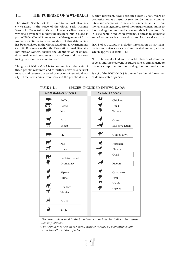# **1.1 THE PURPOSE OF WWL-DAD:3**

The World Watch List for Domestic Animal Diversity (WWL-DAD) is the voice of the Global Early Warning System for Farm Animal Genetic Resources. Based on survey data, a system of monitoring has been put in place as part of FAO's Global Strategy for the Management of Farm Animal Genetic Resources. Analysis of this data, which has been collated in the Global Databank for Farm Animal Genetic Resources within the Domestic Animal Diversity Information System, enables the identification of domestic animal genetic resources at risk of loss and the monitoring over time of extinction rates.

The goal of WWL-DAD:3 is to communicate the state of these genetic resources and to further serve as a catalyst to stop and reverse the trend of erosion of genetic diversity. These farm animal resources and the genetic diversity they represent, have developed over 12 000 years of domestication as a result of selection by human communities and adaptation to new environments and environmental challenges.Because of their major contributions to food and agriculture production and their important role in sustainable production systems, a threat to domestic animal resources is a major threat to global food security.

Part 2 of WWL-DAD:3 includes information on 30 mammalian and avian species of domesticated animals,a list of which appears in Table 1.1.1.

Not to be overlooked are the wild relatives of domestic species and their current or future role as animal genetic resources important for food and agriculture production.

**Part 3** of the WWL-DAD:3 is devoted to the wild relatives of domesticated species.

| <b>MAMMALIAN</b> species                          | <b>AVIAN species</b>     |
|---------------------------------------------------|--------------------------|
| A<br><b>Buffalo</b>                               | Chicken                  |
| Cattle <sup>1</sup>                               | Duck                     |
| Yak                                               | Turkey                   |
| $\overline{\mathcal{M}}$<br>Goat                  | Goose                    |
| $\lambda$<br>Sheep                                | <b>Muscovy Duck</b>      |
| <b>The Second</b><br>Pig                          | Guinea fowl              |
| $\pi$<br>Ass                                      | R<br>Partridge           |
| $\pi$<br>Horse                                    | Pheasant                 |
|                                                   | Quail                    |
| R<br><b>Bactrian Camel</b>                        |                          |
| N<br>Dromedary                                    | Pigeon                   |
| $\mathbf{r}$<br>Alpaca<br>$\overline{M}$<br>Llama | スキスト<br>Cassowary<br>Emu |
|                                                   |                          |
| त्<br>त<br>Guanaco                                | Ñandu<br>Ostrich         |
| Vicuña                                            |                          |
| $\overrightarrow{\pi}$<br>Deer <sup>2</sup>       |                          |
| Rabbit                                            |                          |

**TABLE 1.1.1** SPECIES INCLUDED IN WWL-DAD:3

1 *The term cattle is used in the broad sense to include Bos indicus, Bos taurus, Banteng, Mithan.*

2 *The term deer is used in the broad sense to include all domesticated and semi-domesticated deer species.*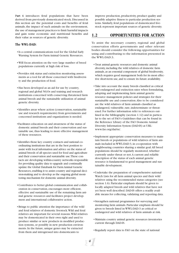Part 4 introduces feral populations that have been derived from previously domesticated stock.Discussed in this section are the potential costs and benefits of feral animals, the impact of such animals on the environment, the use of management practices to limit harmful impacts and gain some economic and nutritional benefits and their value as sources of genetic diversity.

# **The WWL-DAD:**

- •Is a central communications tool for the Global Early Warning System for Farm Animal Genetic Resources.
- •Will focus attention on the very large number of breed populations currently at high risk of loss.
- •Provides risk status and extinction monitoring assessments as a tool for all those concerned with biodiversity and the production of food.
- •Has been developed as an aid for use by country, regional and global NGOs and training and research institutions concerned with conserving threatened farm animal breeds and the sustainable utilization of animal genetic diversity.
- •Identifies areas where action (conservation, sustainable use and research requirements) from governments and concerned institutions and organizations is needed.
- •Facilitates education on and awareness of the status of domestic animal breeds and their conservation and sustainable use, thus leading to more effective management of these resources.
- •Identifies those key country contacts and national coordinating institutions that are in the best position to assist with local information and advice on the status of animal breeds of all species used for food and agriculture and their conservation and sustainable use.These contacts are developing within-country networks responsible for providing quality data to upgrade and continually update the Global Databank for Farm Animal Genetic Resources, enabling it to assist country and regional decision-making and to develop as the ongoing global monitoring mechanism for domestic animal diversity.
- •Contributes to better global communication and collaboration in conservation, encourages more efficient, effective and sustainable use of the remaining farm animal genetic resources and facilitates project development and international collaborative action.
- •Brings to public attention the importance of the wild and feral relatives of domestic livestock.Wild and feral relatives are important for several reasons.Wild relatives may be domesticated in their own right and used to produce similar or new products in modified production systems, or possibly in new production environments. In the future, unique genes may be extracted from them and introgressed into domesticants to

improve production, productivity, product quality and possibly adaptive fitness to particular production systems. Similarly, feral populations of domesticated livestock represent important sources of genetic diversity.

# **1.2 OPPORTUNITIES FOR ACTION**

To assist the necessary country, regional and global conservation efforts governments and other relevant bodies should consider the following opportunities for using and contributing to the information presented in the WWL-DAD:3.

- •Treat animal genetic resources and domestic animal diversity, including the wild relatives of domestic farm animals, as an essential component of global biodiversity, which requires good management both for its most effective short-term use, and to ensure its future availability.
- •Take into account the many breeds classified as critical and endangered and extinction rates when formulating, adopting and implementing farm animal genetic resource management policies and strategies for their sustainable use and conservation.Also to be considered are the wild relatives of farm animals classified as endangered, vulnerable, rare, indeterminate or threatened. For further information refer to references outlined in the bibliography (section 1.12) and in particular to the set of FAO's Guidelines that can be found in the Reference Library of the FAO Domestic Animal Diversity Information System (DAD-IS) at URL: www.fao.org/dad-is/.
- •Implement appropriate conservation measures to maintain breeds or populations of wild relatives of farm animals included in WWL-DAD:3, in co-operation with neighbouring countries sharing a similar goal.All breed populations should be regularly monitored, whether currently under threat or not.A current and reliable description of the status of each animal genetic resource is fundamental to good management and sustainable development.
- •Undertake the preparation of comprehensive national Watch Lists for all farm animal species and their wild relatives using the recommended status categories (see section 1.6). Particular emphasis should be given to locally adapted breeds and wild relatives that have not yet been well described. DAD-IS offers a readily available means for collecting, validating and reporting data.
- •Strengthen national programmes for surveying and monitoring farm animals. Particular emphasis should be given to breeds listed in WWL-DAD:3 as critical or endangered and wild relatives of farm animals at risk.
- •Maintain country animal genetic resources inventories current through DAD-IS.
- •Regularly report data to FAO on the state of national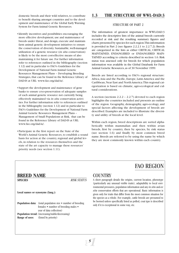domestic breeds and their wild relatives, to contribute to benefit sharing amongst countries and to the development and maintenance of the Global Early Warning System for Farm Animal Genetic Resources.

- •Identify incentives and possibilities encouraging the more effective development, use and maintenance of breeds under threat, and design, execute and maintain farm animal genetic development initiatives to ensure the conservation of diversity. Sustainable, well-managed utilization of a genetic resource (*in situ* conservation) is likely to be the most cost-effective means of also maintaining it for future use. For further information refer to references outlined in the bibliography (section 1.12) and in particular to FAO's Guidelines for the Development of National Farm Animal Genetic Resources Management Plans – Developing Breeding Strategies, that can be found in the Reference Library of DAD-IS at URL: www.fao.org/dad-is/.
- •Support the development and maintenance of gene banks to ensure cryo-preservation of adequate samples of each animal genetic resource not currently being effectively maintained via *in situ* conservation activities. For further information refer to references outlined in the bibliography (section 1.12) and in particular to FAO's Guidelines for the Development of National Farm Animal Genetic Resources Management Plans – Management of Small Populations at Risk, that can be found in the Reference Library of DAD-IS at URL: www.fao.org/dad-is/.
- •Participate in the first report on the State of the World's Animal Genetic Resources, to establish a sound basis for action at the country, regional and global levels, in relation to the resources themselves and the state of the art capacity to manage these resources' priority needs (see section 1.11).

# **1.3 THE STRUCTURE OF WWL-DAD:3**

# STRUCTURE OF PART 2

The information of greatest importance in WWL-DAD:3 includes the descriptive lists of the animal breeds currently recorded at risk and the resulting summary figures and charts presented by species for each region.This information is provided in Part 2 (see figures 2.2.2.1 to 2.2.7.2). Breeds are categorized in the lists as either CRITICAL, CRITICAL MAINTAINED, ENDANGERED or ENDANGERED MAIN-TAINED according to criteria described in section 1.6. Risk status was assessed only for breeds for which population information was available in the Global Databank for Farm Animal Genetic Resources, as of 30 November 1999.

Breeds are listed according to FAO's regional structure: Africa,Asia and the Pacific, Europe, Latin America and the Caribbean, Near East and North America. This regional categorization is based on climatic, agro-ecological and cultural considerations.

A section (sections 2.2.2 – 2.2.7) devoted to each region highlights the countries included and presents an outline of the region. Geography, demography, agro-ecology, and special factors affecting the development of breeds are described. Examples are included to illustrate the diversity and utility of breeds at the local level.

Within each region, breed descriptions are sorted alphabetically within mammalian and then within avian breeds, first by country, then by species, by risk status (see section 1.6) and finally by most common breed name. Breeds are referred to by using the name by which they are most commonly known within each country.

# **BREED NAME**<br>**SPECIES**

**SPECIES** *RISK STATUS*

**Local names or synonyms (lang.):**

# **Population data:** (total population size • number of breeding females • number of breeding males • year of data collection) **Population trend:** (increasing/stable/decreasing) **Range of uses:** (listed by priority)

# **COUNTRY**

A short paragraph details the origins, current location, phenotype (particularly any unusual visible traits), adaptability to local environmental pressures, population information and any *in situ* and *ex situ* conservation efforts that are operational. Basic information is given only for traits that differ from the most common situation for the species as a whole. For example, cattle breeds are presumed to be horned unless specifically listed as polled, coat type is described only if it is exceptional in some way, etc.

FAO REGION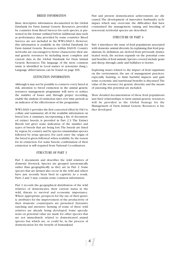#### BREED INFORMATION

Basic descriptive information documented in the Global Databank for Farm Animal Genetic Resources, provided by countries from Breed Surveys for each species, is presented in the format outlined below.Additional data such as performance data, provided by some countries' Breed Surveys are not included in the WWL-DAD:3. However, this information is available in the Global Databank for Farm Animal Genetic Resources within DAD-IS. Country networks are encouraged to better characterize their animal genetic resources by including more complete and current data in the Global Databank for Farm Animal Genetic Resources. The language of the most common name is identified in Local names or synonyms (lang.). Language abbreviations can be found on page XIX.

# EXTINCTION INFORMATION

Although it may not be possible to conserve every breed at risk, attention to breed extinction in the animal genetic resources management programme will serve to reduce the number of losses and, through proper recording, enable the analysis of extinction rates over time periods as an indicator of the effectiveness of the programme.

WWL-DAD:3 provides the first concerted effort by FAO to collate and summarize all of the available information on breed loss.A summary, incorporating a list of documented extinct breeds, is provided in Part 2.3. The Extinct Breeds List gives some indication of the number and types of breeds that are being lost.The breeds are listed by region,by country and by species (mammalian species followed by avian species). For each entry the origin of the breed is given followed, when available, by the reason for its extinction. For some breeds, confirmation of their extinction is still required from National Co-ordinators.

# STRUCTURE OF PART 3

Part 3 documents and describes the wild relatives of domestic livestock. Species are grouped taxonomically rather than geographically as they are in Part 2. Some species that are farmed also occur in the wild and others have just recently been bred in captivity. As a result, Parts 2 and 3 may contain some common information.

Part 3 records the geographical distribution of the wild relatives of domesticates, their current status in the wild, threats to survival and economic importance. Where appropriate, prospects for the use of their genetic attributes for the improvement of the productivity of their domestic counterparts are presented. Extensive ranching and intensive farming of some of these wild relatives are already being developed. Some speculations on potential value are made for other species that are not immediately related to domesticated animal species but which are, or could be, in the process of domestication for the benefit of humankind.

Past and present domestication achievements are discussed. The development of innovative husbandry techniques which may overcome the difficulties that have constrained the management, taming and breeding of non-social, territorial species are described.

#### STRUCTURE OF PART 4

Part 4 introduces the issue of feral populations associated with domestic animal diversity.In explaining that feral populations, by definition, are derived from previously domesticated stock, the section expands on the potential costs and benefits of feral animals.Species covered include goats and sheep, through cattle and buffaloes to horses.

Exploring issues related to the impact of feral organisms on the environment, the use of management practices, especially hunting, to limit harmful impacts and gain some economic and nutritional benefits is discussed.The value of the resource for genetic diversity and the means of assessing this potential are included.

More detailed documentation of these feral populations and their relationships to farm animal genetic resources will be provided as the Global Strategy for the Management of Farm Animal Genetic Resources is further developed.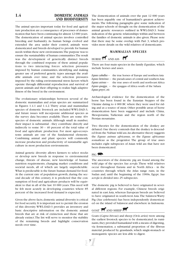# **1.4 DOMESTIC ANIMALS AND BIODIVERSITY**

The animal species important today for food and agriculture production are a consequence of processes of domestication that have been continuing for almost 12 000 years. The domestication of animal species involves controlled breeding and husbandry. As human beings evolved and extended the area under their control, animals were domesticated and breeds developed to provide for human needs within these new environments.The purpose was to ensure the sustainability of human communities.The result was the development of genetically distinct breeds through the combined response of these animal populations to two interacting forces: selection pressures imposed by human communities, identifying and making greater use of preferred genetic types amongst the available animals over time; and the selection pressures imposed by the ruling environmental stress factors which operate through differential reproduction and survival of parent animals and their offspring to realize high adaptive fitness of the breed in the environment.

The evolutionary relationships between several of the domestic mammalian and avian species are summarized in Figures 1.4.1 and 1.4.2. Thirty avian and mammalian species of domestic livestock are included WWL-DAD:3, and future issues will incorporate additional species as the survey data becomes available. There are some 40+ species of domestic animals. Although small in number, their impact is substantial - they contribute directly and indirectly to some 30 – 40 percent of the total value of food and agriculture production. For most agro-ecosystems animals are one of the fundamental elements. Combining animal and plant species will commonly increase production and productivity of sustainable agriculture in most production environments.

Animal genetic diversity allows farmers to select stocks or develop new breeds in response to environmental change, threats of disease, new knowledge of human nutrition requirements, changing market conditions and societal needs, all of which are largely unpredictable. What is predictable is the future human demand for food. At the current rate of population growth, during the second decade of this century, it is predicted that the consumption of food and agriculture products will be equivalent to that in all of the last 10 000 years.This need will be felt most acutely in developing countries where 85 percent of the increased food demand is expected.

Given the above facts, domestic animal diversity is critical for food security.It is important not to permit the erosion of this diversity. WWL-DAD:3 provides an inventory and basic descriptive information on the domestic animal breeds that are at risk of extinction and those that are already extinct.The list will serve to monitor the stability of the remaining breeds and highlight conservation needs over time.

The domestication of animals over the past 12 000 years has been arguably one of humankind's greatest achievements.The following paragraphs give some indication of the major schools of thought on the domestication of the animal genetic resources outlined in WWL-DAD:3. Some indication of the genetic relationships within and between the families of domestic animals is also given. Please note that there may be some overlap with Part 3, which provides more details on the wild relatives of domesticants.

# **MAMMALIAN SPECIES**



There are four main species in the family *Equidae,* which include horses and asses.

*Equus caballus* – the true horses of Europe and northern Asia *Equus heminus* – the pseudo-asses of central and southern Asia *Equus asinus –* the true asses of north and north-east Africa *Equus quagga, –* the quaggas of Africa south of the Sahara *Equus greyvi, etc.*

Archaeological evidence for the domestication of the horse has been found in the Eurasian Steppes of the Ukraine dating to 4 000 BC where they were used for riding and as a source of meat. Other possible areas of horse domestication have been suggested and include China, Mesopotamia, Turkestan and the region north of the Persian mountains.

Two theories for the domestication of the donkey are debated. One theory contends that the donkey is descended from the Nubian wild ass.An alternative theory suggests the *Equus asinus africanus*, or the *Equus africanus somalicus* as the progenitor. The group of true asses includes eight subspecies of Asian wild ass that have not been domesticated.

# PIG Re

The ancestors of the domestic pig are found among the wild pigs of the species *Sus scrofa*.These wild relatives occur throughout Eurasia and in North Africa - in the countries through which the Atlas range runs, in the Sudan and, until the beginning of the 1900s, Egypt. *Sus scrofa* is divided into 25 subspecies.

The domestic pig is believed to have originated in several different regions. For example, Chinese breeds originated in east Asia, whereas European breeds are believed to have originated in south-west Asia.The Sulawesi Warty Pig (*Sus celebensis*) has been independently domesticated on the island of Sulawesi and elsewhere in Indonesia.

# GOAT  $\overline{u}$  and sheep  $\overline{v}$

Goats (*Capra hircus*) and sheep (*Ovis aries*) were among the earliest livestock species to be domesticated.As ruminants, they provided humankind with a means of digesting, via fermentation, a substantial proportion of the fibrous material produced by grasslands, which single-stomach or monogastric species are less able to digest.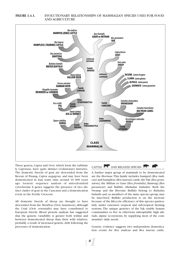# **FIGURE 1.4.1.** EVOLUTIONARY RELATIONSHIPS OF MAMMALIAN SPECIES USED FOR FOOD AND AGRICULTURE



These genera, *Capra* and *Ovis*, which form the subfamily *Caprinae,* have quite distinct evolutionary histories. The domestic breeds of goat are descended from the Bezoar of Pasang, *Capra aegagrus,* and may have been domesticated in Iran some time around 10 000 years ago. Genetic sequence analysis of mitochondrial cytochrome b genes suggests the presence of two distinct clades of goat in the Caucasus and a domestication event in the Fertile Crescent.

All domestic breeds of sheep are thought to have descended from the Mouflon (*Ovis musimon*), although the Urial (*Ovis orientalis*) may have contributed to European breeds. Blood protein analysis has suggested that the genetic variability is greater both within and between domesticated sheep than their wild relatives, probably a result of increased genetic drift following the processes of domestication.

CATTLE  $R - A$  AND RELATED SPECIES  $R - A$ 

A further major group of mammals to be domesticated are the *Bovinae*.This family includes humped (*Bos indicus*) and humpless (*Bos taurus*) cattle, the Yak (*Bos grunniens*), the Mithan or Gaur (*Bos frontalis*), Banteng (*Bos javanicus*) and Buffalo (*Bubalus bubalis*). Both the Swamp and the Riverine Buffalo belong to *Bubalus bubalis* and, as members of the same species group, may be inter-bred. Buffalo production is on the increase because of the lifecycle efficiency of this species particularly under extensive tropical and sub-tropical farming systems. The unique genetics of the Yak enable human communities to live in otherwise inhospitable high altitude, alpine ecosystems, by supplying most of the communities' daily needs.

Genetic evidence suggests two independent domestication events for *Bos indicus* and *Bos taurus* cattle.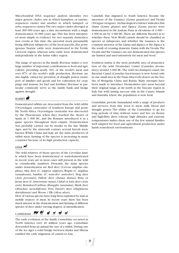Mitochondrial DNA sequence analysis identifies two major genetic clades; one in which humpless, or taurine, sequences cluster and another in which humped, or zebu, sequences cluster.The two major clades diverged at least 200 000 years ago, a date inconsistent with a single domestication 10 000 years ago.This has been interpreted most simply as evidence for two separate domestication events at this time, the ancestral stock presumably being different subspecies of the local aurochs,*Bos primigenius*. Taurine cattle were domesticated in the Fertile Crescent region, whereas zebu cattle were domesticated independently in the Indus valley region.

The range of species in the family *Bovinae* makes a very large number of important contributions to food and agriculture, providing nearly 30% of the world's meat and over 87% of the world's milk production. *Bovinae* are also highly valued for provision of draught power (transport of families and goods and for cultivation for cropping) and manure for fuel and fertilizer. *Bovinae* in particular commonly serve as the family bank and hedge against drought.

# RABBIT

Domesticated rabbits are descended from the wild rabbit (*Oryctolagus cuniculus*) of Southern Europe and possibly North Africa. *Oryctolagus cuniculus* was discovered by the Phoenicians when they reached the shores of Spain in 1 000 BC, and the Romans introduced it as a game species throughout their empire. Domestication was probably carried out by monks in the late Middle Ages, and by the sixteenth century several breeds were known.Whilst China and Italy are the main producers of rabbit meat, farming of the species is increasing in many countries because of its high production capacity.

# DEER TH

The wild relatives of those species of the *Cervidae* family which have been domesticated or semi-domesticated in recent years are in most cases still present in the wild in considerable numbers. Presently, the main species under domestication are Red deer *(Cervus elaphus elaphus*), Sika deer (*C. nippon nippon*), Wapiti (*C. elaphus canadensis*), Sambar *(C. unicolor unicolor*), Hog deer (*Axis porcinus*), Fallow deer (*Dama dama*), Rusa or Javan deer (*C.timorensis russa*), Chital or Axis deer (*Axis axis*), Reindeer/Caribou (*Rangifer tarandus*), Musk deer (*Moschus moschiferus*), Pere David's deer (*Elaphurus davidianus*) and Moose / Elk (*Alces alces*).

Deer of various species have long been exploited by man as mobile sources of meat. In recent years there has been much interest in the domestication and farming of different species of deer under varying degrees of intensification.

# $\overline{\text{CAMELIDAE}}$   $\overline{\text{M}}$   $\overline{\text{M}}$   $\overline{\text{M}}$   $\overline{\text{M}}$   $\overline{\text{M}}$   $\overline{\text{M}}$

The early evolution of the family *Camelidae* occurred in North America over 40 million years ago. *Camelidae* descended from an animal the size of a rabbit.During one of the Ice Ages a solid bridge between Alaska and Siberia enabled the early migration of camels to Asia.

Camelids that migrated to South America became the ancestors of the Guanaco (*Lama guanicoe*) and Vicuña (*Vicugna vicugna*). Archaeological evidence indicates that Llama (*Lama glama*) and Alpaca (*Lama pacos*) were domesticated in the Andean Puna at elevations of 4 000 – 4 900 m asl, by 4 000 BC.There are different theories as to whether these New World camels should be classified as species or subspecies, and whether the Guanaco is the common ancestor of the Llama and Alpaca or the Alpaca is the result of crossing domestic Llama with the Vicuña.The Vicuña and the Guanaco are not domesticated, but species are hunted and used intensively for meat and wool.

Southern Arabia is the most probable area of domestication of the wild Dromedary Camel (*Camelus dromedary*) around 3 000 BC.The wild two-humped camel, the Bactrian Camel (*Camelus bactrianus*) is now found only in one small area in the Trans-Altai Gobi desert on the border of Mongolia, China and Russia. Many attempts have been made to introduce Dromedaries into areas beyond their original range, as far north as the Tuscany region in Italy but with lasting success only in the Canary Islands and Australia where the population is now feral.

*Camelidae* provide humankind with a range of products and services, from fine wool to meat, milk, blood and draught power. The ability of the *Camelidae* to go for long periods of time without water and live on thorny and high-fibre diets, tolerate high altitudes and extreme temperatures makes them one of the few animal families well adapted for food and agricultural production under harsh semi-desert environments.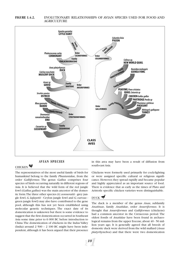**FIGURE 1.4.2.** EVOLUTIONARY RELATIONSHIPS OF AVIAN SPECIES USED FOR FOOD AND AGRICULTURE



#### **AVIAN SPECIES**

# CHICKEN<sup></sup>

The representatives of the most useful family of birds for humankind belong to the family *Phasianidae,* from the order *Galliformes*. The genus *Gallus* comprises four species of birds occurring naturally in different regions of Asia. It is believed that the wild form of the red jungle fowl (*Gallus gallus*) was the main ancestor of the domestic form.The three other species (*G.sonneratii* - grey jungle fowl, *G. lafayetii* - Ceylon jungle fowl and *G. varous* green jungle fowl) may also have contributed to the gene pool, although this has not yet been established using molecular genetic techniques. The exact date of its domestication is unknown but there is some evidence to suggest that the first domestication occurred in Southeast Asia some time prior to 6 000 BC before introduction to China.The domestication of chickens in the Indus Valley (India) around 2 500 – 2 100 BC might have been independent, although it has been argued that their presence

in this area may have been a result of diffusion from south-east Asia.

Chickens were formerly used primarily for cock-fighting or were assigned specific cultural or religious significance. However, they spread rapidly and became popular and highly appreciated as an important source of food. There is evidence that as early as the times of Plato and Aristotle specific chicken varieties were distinguishable.

# $DUCK$

The duck is a member of the genus *Anas*, subfamily *Anatinae*, family *Anatidae*, order *Anseriformes*. It is thought that *Anseriformes* and *Galliformes* (chickens) had a common ancestor in the Cretaceous period. The oldest fossils of *Anatidae* have been found in archaeological remains from the upper Eocene, about 40 - 50 million years ago. It is generally agreed that all breeds of domestic duck were derived from the wild mallard (*Anas platyrhynchos*) and that there were two domestication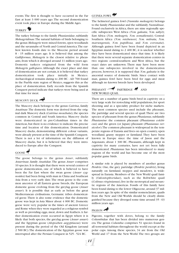events. The first is thought to have occurred in the Far East at least 3 000 years ago. The second domestication event took place in Europe during the Middle Ages.

# TURKEY

The turkey belongs to the family *Phasianidae*, subfamily *Meleagridinae*.The natural habitats of birds belonging to the genus *Meleagris* were mixed forests,open woodlands and the savannahs of North and Central America.The earliest known fossils date to the Miocene period around 8 - 15 million years ago. It is believed that among the *Galliformes*, *Meleagris* is the closest relative to pheasants, from which it diverged around 11 million years ago. Domestic turkeys originated from the wild form *Meleagris gallopavo*. Although the exact place and date of domestication are not certain, it is believed that turkey domestication took place initially in Mexico. Archaeological remains dating to 200 BC - AD 700 found in the Puebla state region of Mexico, suggests this as the place of domestication. Early records from the Spanish Conquest period indicate that turkeys were being used at that time for meat.

# MUSCOVY DUCK

The Muscovy duck belongs to the genus *Cairina*, family *Anatinae*.The domestic form was derived from the original dark Muscovy duck (*Cairina moschata*), the species common in Central and South America. Muscovy ducks were domesticated in pre-Columbian times in the Americas,but there is no evidence to indicate the precise time and location of this domestication. Domesticated Muscovy ducks, demonstrating different colour variants, were already present at the time of the Spanish Conquest. There is not a lot of information on the diffusion of Muscovy ducks, but it is believed that they were introduced to Europe after the Conquest.

# $GOOSE<sub>1</sub>$

The goose belongs to the genus *Anser*, subfamily *Anserinae*, family *Anatidae*.The genus *Anser* comprises 10 species.It is thought that there were several centres of goose domestication, one of which is believed to have been the Far East where the swan goose (*Anser cygnoides*) had been living with man in China and Southeast Asia from a very early date.The swan goose is the common ancestor of all Eastern goose breeds, the European domestic goose evolving from the greylag goose (*Anser anser*). It is possible that as early as before the great Mediterranean civilisations, Germanic tribes domesticated geese.There is also some evidence that the domestic goose was kept in Asia Minor about 4 000 BC. Domestic geese were very popular in the times of ancient Greece and Rome when they were regarded as a religious symbol as well as providing eggs, meat, down and feathers.A further domestication event occurred in Egypt where it is likely that both species, the greylag goose (*Anser anser*) and the Egyptian goose (*Alopochen aegyptiacus*) were present during the period of the Old Kingdom (around 2 500 BC).The domestication of the Egyptian goose was interrupted after the Persian Conquest in 525 - 524 BC.

# **GUINEA FOWL**

The helmeted guinea fowl (*Numida meleagris*) belongs to the family *Phasianidae* and the subfamily *Numidinae*. Found exclusively in Africa, there are nine regionally specific subspecies: West Africa *(N.m. galeata, N.m. sabyi*); East Africa (*N.m. meleagris, N.m. somaliensis*); Central-Southern Africa *(N.m. reichenovi, N.m. mitrata, N.m. marungensis, N.m. papillosa,* and *N.m. coronata*). Although guinea fowl have been found depicted in an Egyptian mural dating to 2 400 BC, it is unclear whether they have been domesticated since that time. It is likely that there were several separate domestication centres in two regions: central-southern and West Africa, but the exact dates are unknown. There may have been more than one subspecies involved in the domestication process, however, it is supposed that *N.m. galeata* is the ancestral source of domestic birds. Since contact with man, guinea fowl have been bred for eggs and meat although no known breeds have been developed.

# PHEASANT PARTRIDGE TO AND NEW WORLD QUAIL

There are a number of game birds bred in captivity on a very large scale for restocking wild populations, for sport shooting and as a speciality product for niche markets. The most common species used include the pheasant, the partridge and several species of quail.There are two species of pheasant from the genus *Phasianus*, subfamily *Phasianine*: the common pheasant (*Phasianus colchicus*) and the green (or Japan) pheasant (*Phasianus versicolor*).The common pheasant is widespread in the temperate regions of Eurasia and lives on open country, open woodland, grassy steppes or farmland. They have been known in Europe since the time of Jason and the Argonauts, about 1 300 BC. Pheasants, although kept in captivity for many centuries, have not yet been fully domesticated. *Phasianus* has been introduced to many regions of the world and has become one of the most popular game birds.

A similar role is played by members of another genus *Perdrix*. One, the grey partridge (*Perdrix perdrix*), living naturally on farmland, steppes and meadows, is widespread in Eurasia. Members of the New World quail family (*Odontophoridae*), such as the Bobwhite quail (*Colinus virginianus*), live in the neotropical and neoarctic regions of the Americas. Fossils of this family have been found dating to the lower Oligocene, around 37 million years ago. In spite of the similar nomenclature, quails from the New and Old Worlds should be clearly distinguished because they diverged some time around 35 - 63 million years ago.

# $PIGEON$

Pigeons, together with doves, belong to the family *Columbidae* that has been divided into numerous genera.The genus *Columba* comprises 51 species found in all terrestrial habitats throughout the world except at the polar caps. Among these species, 34 are from the Old World and 17 from the New World.The two groups are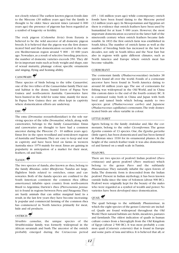not closely related.The earliest known pigeon fossils date to the Miocene (30 million years ago) but the family is thought to be older. Since ancient times (around 6 000 years ago) the presence of pigeons has been regarded as a symbol of longevity or fertility.

The rock pigeon (*Columba livia*) from Eurasia is believed to be the wild ancestor of all domestic pigeon breeds. It is believed that the pigeon was the first domesticated bird and that domestication occurred in the eastern Mediterranean region around 5 000 - 10 000 years ago. Nowadays, as a result of selective breeding practices, the number of domestic varieties exceeds 350. They differ in important traits such as body weight and shape, rate of sexual maturity, plumage colour, specific ornaments and singing, flying and homing ability.

# CASSOWARY **a**

Three species of birds belong to the tribe *Casuariini*, one of the two tribes of the *Casuariidae* family.Their natural habitat is the dense, humid forest of Papua New Guinea and north-eastern Australia. Cassowaries have been hunted in the wild for some time, mainly for meat. In Papua New Guinea they are often kept in captivity where domestication efforts are underway.

# **EMU**

The emu (*Dromaius novaehollanidiae*) is the sole surviving species of the tribe *Dromaiini*, which, along with cassowaries, belongs to the family *Casuariidae*. Emus and cassowaries are thought to have had a common ancestor during the Pliocene (5 - 10 million years ago). Emus live in the open woodland and semi-desert regions of Australia and Tasmania.They are easy to keep and rear in captivity and have been bred on farms in western Australia since 1970 mainly for meat. Emus are gaining in popularity in anticipation of a market for their meat, feathers, oil and hide.



The two species of ñandu, also known as rhea, belong to the family *Rheidae*, order *Rheiforms*. Ñandus are large, flightless birds related to ostriches, emus and cassowaries. Both of the ñandu species are confined to the South American continent: the common rhea (*Rhea americana*) inhabits open country from north-eastern Brazil to Argentina; Darwin's rhea (*Pterocnemia pennata*) is found in regions between Peru and Patagonia.They are hardy animals that can utilize marginal land. As a result, in the last few years they have become increasingly popular and commercial farming of the common rhea has commenced in North America primarily for meat, hide and oil products.



*Struthio camelus*, the unique species of the *Struthionidae* family, was formerly widespread in the African savannah and bush. The ancestor of the ostrich probably emerged during the Cretaceous period (65 – 146 million years ago) while contemporary ostrich fossils have been found dating to the Miocene period (12 million years ago). In Mesopotamian and Egyptian art there is evidence that ostrich feathers have been used by humankind for at least 5 000 years. However, the most important domestication occurred in the latter half of the nineteenth century when ostrich feathers became fashionable. In 1833 the first ostrich farm was established in South Africa.The number of ostrich farms as well as the number of breeding birds has increased in the last few decades, not only in South Africa and the Near East but also in regions with quite different climates, such as North America and Europe where ostrich meat has become valuable.

# CORMORANT

The cormorant family (*Phalacrocoracidae*) includes 38 species found all over the world. Fossils of a cormorant ancestor have been found in North America dating to around 60 million years ago. The use of cormorants for fishing was widespread in the Old World, and in China this custom dates to the end of the fourth century BC. It is continued today both in China and Japan with both bred and tamed birds which belong mainly to two species: great (*Phalacrocorax carbo*) and Japanese (*Phalacrocorax capillatus*) cormorants.The truly domesticated birds are often variable in colour.

# LITTLE EGRET

Egrets belong to the family *Ardeidae* and, like the cormorants, belong to the order *Ciconiformes*. The genus *Egretta* consists of 13 species. One, the *Egretta garzetta* (little egret), has been domesticated and has been farmed in Pakistan since 1930 for its ornamental plumes.At the height of the ostrich feather trade it was also domesticated and farmed on a small scale in Tunisia.

# PEAFOWL

There are two species of peafowl: Indian peafowl (*Pavo cristacus*) and green peafowl (*Pavo muticus*) which belong to the genus *Pavo* and the subfamily *Phasianinae*. They naturally inhabit the open forests of India. The domestic form is descended from the Indian peafowl. Present in Indian mythology, it has been known outside India since the time of Solomon (about 900 BC). Peafowl were originally kept for the beauty of the males who were regarded as a symbol of wealth and power. No varieties have been developed since domestication.

# QUAIL <sup>1</sup>

The quail belongs to the subfamily *Phasianinae*, in which the eight species of the genus *Coturnix* are included. Quails are found widespread throughout the Old World. Their natural habitats are fields, meadows, pastures and farmlands.The oldest indication of quails in human culture comes from a hieroglyph from the Old Kingdom of Egypt (about 2 500 BC). It was most probably a common quail (*Coturnix coturnix*) that is found in Europe and some parts of Asia and Africa. It is believed that all, or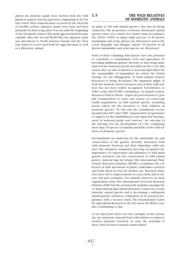almost all, domestic quails were derived from the wild Japanese quail (*Coturnix japonica*) originating in the Far East where their domestication occurred in the eleventh or twelfth century. Japanese quails were kept and bred primarily for their song and it was not until the beginning of the twentieth century that quail eggs and meat became valuable. After the Second World War, the Japanese quail was introduced to North America, Europe and the Near East where it is now used both for eggs and meat as well as a laboratory animal.

As many as 100 wild animal species a day may be facing extinction. The proportion of known threatened animal species varies on a country by country basis:according to the OECD (1999), in Japan eight percent of all known mammalian and avian species are threatened; and in the Czech Republic and Hungary almost 45 percent of all known mammalian and avian species are threatened.

Some of these vanishing wild species have the potential to contribute to humankind's food and agriculture by providing additional genetic diversity to that being maintained in the domestic breeds described in Part 2.For this reason,they are also of interest to food and agriculture for the sustainability of humankind, for which the Global Strategy for the Management of Farm Animal Genetic Resources is being developed. The imminent plight of both the domestic breed resources and of their wild relatives has not been widely recognised. Nevertheless, in 1980 a joint FAO/UNEP consultation on Animal Genetic Resources held in Rome *"urged all governments to give full consideration to ways and means of conserving viable populations of wild animal species, including avian, which are the ancestors or close relatives of domestic species".* To this end, the consultation recommended that FAO and UNEP *"expand their programmes in support of the establishment and improved management of national parks and reserves".* An outcome of the meeting was the development of a list, comprising more than 35 species of animals and birds, of the wild relatives of domestic species.

Developments are underway for the sustainable use and conservation of the genetic diversity associated both with domestic livestock and their immediate wild relatives.The botanical community has long recognised the importance of conservation and utilisation of wild plant genetic resources, but the conservation of wild animal genetic material lags far behind. The International Plant Genetic Resources Institute (IPGRI), co-ordinates the collection of wild specimens of plants, undertakes research and holds them in trust for farmers use. Research initiatives have led to improvements in crop yields and in disease and pest resistance. For animals, however, no such organisation exists.The International Livestock Research Institute (ILRI) has the system-wide mandate amongst the 14 International Agricultural Research Centres for certain domestic animal species and is developing a substantial animal genetic resources component in its research programme, with a second centre,The International Centre for Agricultural Research in the Dry Areas (ICARDA), now also contributing to this.

As yet, there have been very few examples of the systematic use of genetic material from wild relatives to improve modern domestic livestock. As such, the potential of these wild resources remains undervalued.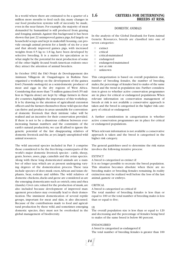*1*

**1.6 CRITERIA FOR DETERMINING BREEDS AT RISK**

#### DOMESTIC ANIMALS

In the analysis of the Global Databank for Farm Animal Genetic Resources, breeds are classified into one of seven categories:

- extinct
- critical
- critical-maintained
- endangered
- endangered-maintained
- not at risk
- unknown

This categorization is based on overall population size, number of breeding females, the number of breeding males,the percentage of females bred to males of the same breed and the trend in population size. Further consideration is given to whether active conservation programmes are in place for critical or endangered populations.When relevant information on conservation management of breeds at risk is not available a conservative approach is taken and the breed is categorised in the higher risk category of critical or endangered.

A further consideration in categorization is whether active conservation programmes are in place for critical or endangered populations.

When relevant information is not available a conservative approach is taken and the breed is categorised in the higher risk category.

The general guidelines used to determine the risk status involves the following iterative process:

#### **EXTINCT**

A breed is categorized as extinct if:

It is no longer possible to recreate the breed population. This situation becomes absolute when there are no breeding males or breeding females remaining. In reality extinction may be realized well before the loss of the last animal, gamete or embryo.

#### **CRITICAL**

A breed is categorized as critical if:

The total number of breeding females is less than or equal to 100 or the total number of breeding males is less than or equal to five;

#### OR

The overall population size is less than or equal to 120 and decreasing and the percentage of females being bred to males of the same breed is below 80 percent.

#### ENDANGERED

A breed is categorized as endangered if:

The total number of breeding females is greater than 100

In a world where there are estimated to be a quarter of a million more mouths to feed each day, many changes in our food production systems will of necessity be made, even in the near future. For example, the majority of meat demanded by humankind is still produced from grazing and foraging animals.Against this background it has been shown that just 22 unimproved guinea pigs, fed largely on household scraps and kept in makeshift housing, can provide enough animal protein for a family of six for a year and that already improved guinea pigs, with increased weights from 0.5 kg to 1.8 kg, have been developed by selective breeding. It is a matter for speculation as to what might be the potential for meat production of some of the other highly fecund South American rodents once they attract the attention of animal breeders.

In October 1992 the FAO Projet de Developpement des Animaux Villageois de Ouagadougou in Burkina Faso organised a workshop on the development of the guinea fowl (*Numida meleagris*) as a semi-domestic producer of meat and eggs in the dry regions of West Africa. Considering that more than 73 million guinea fowl (55 million in Nigeria alone) are kept by village farmers in these dry countries,highlights the importance of this workshop. It is by drawing to the attention of agricultural extension officers and the farmers themselves those wild species that can thrive and produce in areas unsuitable for conventional domestic livestock that their intrinsic value will be realised and an incentive for their conservation provided. If there is not to be a disastrous collision between everincreasing human numbers and the constraints of the earth's natural productivity, we can ill afford to ignore the genetic potential of the fast disappearing relatives of domestic livestock and the, as yet, largely unexploited wild animal resources.

The wild ancestral species included in Part 3 comprise those considered to be the free-living counterparts of the world's major domestic livestock species - cattle, sheep, goats, horses, asses, pigs, camelids and the avian species. Along with these long domesticated animals are a number of other taxa which are at present undergoing varying degrees of the domestication process. These taxa include species of deer, musk oxen,African and Asian elephants, bear, rodents and rabbits. The wild relatives of domestic chickens,ducks and geese are considered as are the emerging domesticants such as ostrich, emu and rhea (ñandu).Civet cats,valued for the production of musk,are also included because development of improved management procedures may eventually lead to their domestication. The imminent domestication of several reptile groups, important for meat and skin, is also discussed. Because of the contributions made to food and agricultural production by these wild, and sometimes emerging domestic species, they must not be overlooked in the global management of biodiversity.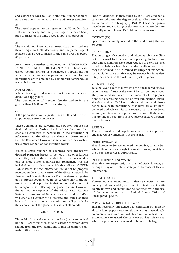and less than or equal to 1 000 or the total number of breeding males is less than or equal to 20 and greater than five;

#### OR

The overall population size is greater than 80 and less than 100 and increasing and the percentage of females being bred to males of the same breed is above 80 percent;

# OR

The overall population size is greater than 1 000 and less than or equal to 1 200 decreasing and the percentage of females being bred to males of the same breed is below 80 percent.

Breeds may be further categorized as CRITICAL-MAIN-TAINED or ENDANGERED-MAINTAINED. These categories identify critical or endangered populations for which active conservation programmes are in place or populations are maintained by commercial companies or research institutions.

# NOT AT RISK

A breed is categorized as not at risk if none of the above definitions apply and:

The total number of breeding females and males are greater than 1 000 and 20, respectively;

# OR

If the population size is greater than 1 200 and the overall population size is increasing.

These definitions are currently used by FAO but are not final and will be further developed. As they are, they enable all countries to participate in the evaluation of information in the Global Databank for Farm Animal Genetic Resources.However,some countries may wish to use a more refined or conservative system.

Whilst a small number of countries have themselves declared particular breeds to be not at risk or unknown where they believe those breeds to be also represented in one or more other countries; this refinement was not included in the analysis on which this edition of WWL-DAD is based, for the information could not be properly recorded in the current version of the Global Databank for Farm Animal Genetic Resources.The risk status categorization of breeds documented in Part 2 refers only to the status of the breed population in that country and should not be interpreted as reflecting the global picture. However, the further development of the Global Early Warning System for Farm Animal Genetic Resources and of DAD-IS will enable all countries to evaluate the status of their breeds that occur in other countries and will provide for the calculation of the global risk status of all breeds.

# WILD RELATIVES

The wild relatives documented in Part 3 are categorized by the IUCN threatened species categories which differ slightly from the FAO definitions of risk for domestic animals outlined above.

Species identified as threatened by IUCN are assigned a category indicating the degree of threat (for more details see reference in bibliography Part 3). These categories have been used for Part 3 of this text only, where they are generally more relevant. Definitions are as follows:

# EXTINCT (EX)

Species not definitely located in the wild during the last 50 years.

#### ENDANGERED (E)

Taxa in danger of extinction and whose survival is unlikely if the causal factors continue operating. Included are taxa whose numbers have been reduced to a critical level or whose habitats have been so drastically reduced that they are deemed to be in immediate danger of extinction. Also included are taxa that may be extinct but have definitely been seen in the wild in the past 50 years.

#### VULNERABLE (V)

Taxa believed likely to move into the endangered category in the near future if the causal factors continue operating. Included are taxa of which most of all the populations are decreasing because of over-exploitation, extensive destruction of habitat or other environmental disturbance; taxa with populations that have seriously been depleted and whose ultimate security has not yet been assured; and taxa with populations that are still abundant but are under threat from severe adverse factors throughout their range.

# RARE (R)

Taxa with small world populations that are not at present endangered or vulnerable, but are at risk.

# INDETERMINATE (I)

Taxa known to be endangered, vulnerable, or rare but where there is not enough information to say which of the three categories is appropriate.

#### INSUFFICIENTLY KNOWN (K)

Taxa that are suspected, but not definitely known, to belong to any of the above categories because of lack of information.

#### THREATENED (T)

Threatened is a general term to denote species that are endangered, vulnerable, rare, indeterminate, or insufficiently known and should not be confused with the use of the same term by the United States Office of Endangered Species.

#### COMMERCIALLY THREATENED (CT)

Taxa not currently threatened with extinction, but most or all of whose populations are threatened as a sustainable commercial resource, or will become so, unless their exploitation is regulated.This category applies only to taxa whose populations are assumed to be relatively large.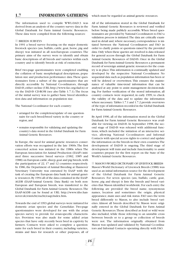# **1.7 INFORMATION GATHERING**

which must be regarded as animal genetic resources.

The information used to compile WWL-DAD:3 was derived from an analysis of the country survey data in the Global Databank for Farm Animal Genetic Resources. These data were compiled from the following sources:

#### **BREEDS SURVEYS**

In 1991 a breed survey focusing on the major domestic livestock species (ass, buffalo, cattle, goat, horse, pig and sheep) was initiated in all non-European countries. The primary aims of the survey were to identify and obtain basic descriptions of all breeds and varieties within each country and to identify breeds at risk of extinction.

Brief two-page questionnaires were completed enabling the collation of basic morphological descriptions, population size and production performance data.These questionnaires form a subset of the questionnaires that are directly accessible by National Co-ordinators, through DAD-IS,either on-line (URL:http://www.fao.org/dad-is) or via the DAD-IS CD-ROM (see also Table 1.7.1).The focus of the initial survey was to gather basic breed identification data and information on population size.

The National Co-ordinator for each country:

- arranged for the completion/update of one questionnaire for each breed/breed variety in the country or region, and
- remains responsible for validating and updating the country's data stored in the Global Databank for Farm Animal Genetic Resources.

In Europe, the need for animal genetic resources conservation efforts was recognised in the late 1960s.The first concerted action was initiated in the 1980s when The European Association for Animal Production (EAAP) initiated three successive breed surveys (1982, 1985 and 1988) on European cattle, sheep, goat and pig breeds, with the participation of 22, 17 and 12 countries respectively. In 1986, the Department of Animal Breeding at Hannover Veterinary University was entrusted by EAAP with the task of creating the European data bank for animal genetic resources.By 1994 all of the data contained in the EAAP-AGDB (EAAP-Animal Genetic Data Bank) on both non-European and European breeds, was transferred to the Global Databank for Farm Animal Genetic Resources.The EAAP-AGDB can be found at URL: http://www.tiho.hannover.de/einricht/zucht/eaap/index.htm**.**

Towards the end of 1993 global surveys were initiated for domestic avian species and the *Camelidae*. Two-page questionnaires were developed for use with the avian species survey to provide for avian-specific characteristics. Provision was also made for some added avian species that have only recently been bred in captivity by farmers. Contacts were asked to complete a questionnaire for each breed in their country, including varieties, strains and lines for research or other purposes, all of All of the information stored in the Global Databank for Farm Animal Genetic Resources is reviewed and verified before being made publicly accessible.When breed questionnaires are provided by National Co-ordinators to FAO a validation process is initiated.The data are critically examined in detail and, where necessary, correspondence is initiated between the National Co-ordinators and FAO in order to clarify points or questions raised by the provided data.Only when these queries are resolved is data released for general access through the Global Databank for Farm Animal Genetic Resources of DAD-IS. Once in the Global Databank for Farm Animal Genetic Resources a permanent record of sovereign animal genetic resources for the country is in place.This information is continually updated and developed by the respective National Co-ordinator. No sequential data such as population information has been or will be deleted or overwritten. This ensures the maintenance of valuable time-trend information that can be analysed at any point to assist management decision-making. For further verification of the stored information, all country contacts were requested, in early 1999, to check the validity of the data and to update the information where necessary. Tables 1.7.1 and 1.7.2 provide overviews of the type of information recorded in the Global Databank for Farm Animal Genetic Resources.

By April 1996, all of the information stored in the Global Databank for Farm Animal Genetic Resources was available for viewing on DAD-IS. In September 1998, the second stage of DAD-IS was released with additional functions, which included the initiation of an interactive service, allowing National Co-ordinators and Informal Contacts with special access rights to correct and update the information on the breeds in their own countries.The development of DAD-IS is ongoing. The third stage of development will train and include functionality to assist countries prepare for the first report on the State of the World's Animal Genetic Resources.

**MASON'S WORLD DICTIONARY OF LIVESTOCK BREEDS** Mason's World Dictionary of Livestock Breeds (1988) was used as an initial information source for the development of the Global Databank for Farm Animal Genetic Resources. For seven species (ass, buffalo, cattle, goat, horse, pig and sheep) it lists the breeds and breed varieties that Mason identified worldwide. For each entry the following are provided: the breed name, synonymous names, location and sometimes the origin, physical appearance, main uses and risk status. FAO uses the term breed differently to Mason, to also include breed varieties. Almost all breeds described by Mason were originally entered in the Global Databank for Farm Animal Genetic Resources.Those described as feral or wild were also included, while those referring to an unstable cross between breeds or to a group or collection of breeds were not. The information originally obtained from Mason was updated and validated by National Co-ordinators and Informal Contacts operating directly with FAO.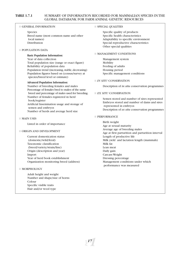# **TABLE 1.7.1** SUMMARY OF INFORMATION RECORDED FOR MAMMALIAN SPECIES IN THE GLOBAL DATABANK FOR FARM ANIMAL GENETIC RESOURCES

#### ■ GENERAL INFORMATION

Species

Breed name (most common name and other local names) Distribution

#### ■ POPULATION DATA

#### **Basic Population Information:**

Year of data collection

Total population size (range or exact figure) Reliability of population data Population trend (increasing, stable, decreasing) Population figures based on (census/survey at species/breed level or estimate)

#### **Advanced Population Information:**

Number of breeding females and males Percentage of females bred to males of the same breed and percentage of males used for breeding. Number of females registered in herd book/register Artificial Insemination usage and storage of semen and embryos Number of herds and average herd size

# ■ MAIN USES

Listed in order of importance

# ■ ORIGIN AND DEVELOPMENT

Current domestication status (domestic/wild/feral) Taxonomic classification (breed/variety/strain/line) Origin (description and year) Import Year of herd book establishment Organization monitoring breed (address)

# ■ MORPHOLOGY

Adult height and weight Number and shape/size of horns Colour Specific visible traits Hair and/or wool type

#### ■ SPECIAL QUALITIES

Specific quality of products Specific health characteristics Adaptability to specific environment Special reproductive characteristics Other special qualities

#### ■ MANAGEMENT CONDITIONS

Management system Mobility Feeding of adults Housing period Specific management conditions

#### ■ *IN SITU* CONSERVATION

Description of *in situ* conservation programmes

# ■ *EX SITU* CONSERVATION

Semen stored and number of sires represented Embryos stored and number of dams and sires represented in embryos Description of *ex situ* conservation programmes

# ■ PERFORMANCE

Birth weight Age at sexual maturity Average age of breeding males Age at first parturition and parturition interval Length of productive life Milk yield and lactation length (mammals) Milk fat Lean meat Daily gain Carcass Weight Dressing percentage Management conditions under which performance was measured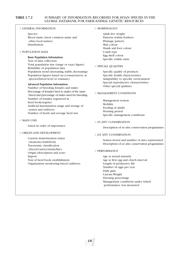# **TABLE 1.7.2** SUMMARY OF INFORMATION RECORDED FOR AVIAN SPECIES IN THE GLOBAL DATABANK FOR FARM ANIMAL GENETIC RESOURCES

#### ■ GENERAL INFORMATION

Species Breed name (most common name and other local names) Distribution

# ■ POPULATION DATA

# **Basic Population Information:**

Year of data collection Total population size (range or exact figure) Reliability of population data Population trend (increasing, stable, decreasing) Population figures based on (census/survey at species/breed level or estimate)

#### **Advanced Population Information:**

Number of breeding females and males Percentage of females bred to males of the same breed and percentage of males used for breeding. Number of females registered in herd book/register Artificial Insemination usage and storage of semen and embryos Number of herds and average herd size

#### ■ MAIN USES

Listed in order of importance

#### ■ ORIGIN AND DEVELOPMENT

Current domestication status (domestic/wild/feral) Taxonomic classification (breed/variety/strain/line) Origin (description and year) Import Year of herd book establishment Organization monitoring breed (address)

# ■ MORPHOLOGY

Adult live weight Patterns within feathers Plumage pattern Skin colour Shank and foot colour Comb type Egg shell colour Specific visible traits

# ■ SPECIAL QUALITIES

Specific quality of products Specific health characteristics Adaptability to specific environment Special reproductive characteristics Other special qualities

# ■ MANAGEMENT CONDITIONS

Management system Mobility Feeding of adults Housing period Specific management conditions

#### ■ *IN SITU* CONSERVATION

Description of *in situ* conservation programmes

# ■ *EX SITU* CONSERVATION

Semen stored and number of sires represented Description of *ex situ* conservation programmes

# ■ PERFORMANCE

Age at sexual maturity Age at first egg and clutch interval Length of productive life Number of eggs per year Daily gain Carcass Weight Dressing percentage Management conditions under which performance was measured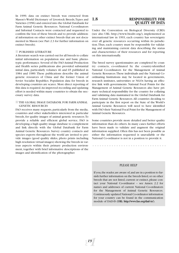In 1999, data on extinct breeds was extracted from Mason's World Dictionary of Livestock Breeds,Types and Varieties (1996) and entered into the Global Databank for Farm Animal Genetic Resources. National Co-ordinators and Informal Contacts were contacted and requested to confirm the loss of these breeds and to provide additional information on other extinct breeds that are not documented in Mason (see Part 2.3 for further information on extinct breeds).

# ■ PUBLISHED LITERATURE

A literature search was carried out for all breeds to collate initial information on population size and basic phenotypic performance. Several of the FAO Animal Production and Health series publications also provided substantial initial data, particularly volumes 46 and 65 published in 1984 and 1989. These publications describe the animal genetic resources of China and the former Union of Soviet Socialist Republics. Population data for breeds in developing countries are scarce. More direct reporting of this data is required.An improved recording and updating effort is needed within many countries to obtain the necessary survey data.

#### ■THE GLOBAL IMAGE DATABANK FOR FARM ANIMAL GENETIC RESOURCES

FAO receives many requests, particularly from the media, countries and other stakeholders interested in particular breeds, for quality images of animal genetic resources.To provide a reliable and efficient global service, FAO is developing a high quality image database to complement and link directly with the Global Databank for Farm Animal Genetic Resources. Survey country contacts and species experts throughout the world are invited to provide images (good quality slides, photo prints including high resolution virtual images) showing the breeds in various aspects within their primary production environment, together with brief informative descriptions of the images and identification of the photographer.

# **1.8 RESPONSIBILITY FOR QUALITY OF DATA**

Under the Convention on Biological Diversity (CBD) (see also URL: http://www.biodiv.org/), implemented as international law in 1993, each country has sovereignty over all genetic resources occurring within its jurisdiction.Thus, each country must be responsible for validating and maintaining current data describing the status and characteristics of their resources and for reporting on this internationally.

The breed survey questionnaires are completed by country contacts, co-ordinated by the country-identified National Co-ordinators for the Management of Animal Genetic Resources.These individuals and the National Coordinating Institutions may be located in governments, research institutes, universities or NGOs having an effective link with governments. National Focal Points for the Management of Animal Genetic Resources also have primary technical responsibility for the country for collating and validating data maintained in the Global Databank for Farm Animal Genetic Resources.All countries deciding to participate in the first report on the State of the World's Animal Genetic Resources will need to have identified with FAO their National Focal Point for the Management of Animal Genetic Resources.

Some countries provide more detailed and better quality information than do others. In many cases further efforts have been made to validate and augment the original information supplied. Often this has not been possible as either the information requested is unavailable or the National Co-ordinator is not in a position to provide it.

#### PLEASE HELP

If you,the reader,are aware of,and are in a position to furnish further information on the breeds listed,or on other breeds that are not listed, current or extinct, please contact your National Co-ordinator – see Annex 2.2 for names and addresses of current National Co-ordinators for the Management of Animal Genetic Resources. Continuously updated National Co-ordinator information for your country can be found in the communication module of DAD-IS (**URL: http://www.fao.org/dad-is/**).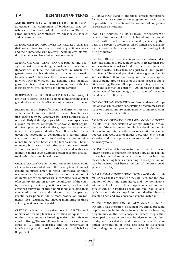# **1.9 DEFINITION OF TERMS**

AGROBIODIVERSITY or AGRICULTURAL BIOLOGICAL DIVERSITY: that component of biodiversity that contributes to food and agriculture production. The term agrobiodiversity encompasses within-species, species and ecosystem diversity.

ANIMAL GENETIC RESOURCES DATABANK: a databank that contains inventories of farm animal genetic resources and their immediate wild relatives, including any information that helps to characterize these resources.

ANIMAL GENOME (GENE) BANK: a planned and managed repository containing animal genetic resources. Repositories include the environment in which the genetic resource has developed, or is now normally found (*in situ*) or facilities elsewhere (*ex situ* – in vivo or in vitro). For in vitro, ex situ genome bank facilities, germplasm is stored in the form of one or more of the following: semen, ova, embryos and tissue samples.

BIODIVERSITY or BIOLOGICAL DIVERSITY: the variety of life in all its forms, levels and combinations, encompassing genetic diversity, species diversity and ecosystem diversity.

BREED: either a subspecific group of domestic livestock with definable and identifiable external characteristics that enable it to be separated by visual appraisal from other similarly defined groups within the same species,or a group for which geographical and/or cultural separation from phenotypically similar groups has led to acceptance of its separate identity. Note: Breeds have been developed according to geographic and cultural differences, and to meet human food and agricultural requirements.In this sense,breed is not a technical term.The differences, both visual and otherwise, between breeds account for much of the diversity associated with each domestic animal species. Breed is often accepted as a cultural rather than a technical term.

CHARACTERIZATION OF ANIMAL GENETIC RESOURCES: all activities associated with the description of animal genetic resources aimed at better knowledge of these resources and their state. Characterization by a country of its animal genetic resources will incorporate development of necessary descriptors for use,identification of the country's sovereign animal genetic resources; baseline and advanced surveying of these populations including their enumeration and visual description, their comparative genetic description in one or more production environments, their valuation, and ongoing monitoring of those animal genetic resources at risk.

CRITICAL: a breed is categorized as critical if: The total number of breeding females is less than or equal to 100 or the total number of breeding males is less than or equal to five; **or** The overall population size is less than or equal to 120 and decreasing and the percentage of females being bred to males of the same breed is below 80 percent.

CRITICAL-MAINTAINED: are those critical populations for which active conservation programmes are in place or populations are maintained by commercial companies or research institutions.

DOMESTIC ANIMAL DIVERSITY (DAD): the spectrum of genetic differences within each breed, and across all breeds within each domestic animal species, together with the species differences; all of which are available for the sustainable intensification of food and agriculture production.

ENDANGERED: a breed is categorized as endangered if: The total number of breeding females is greater than 100 and less than or equal to 1 000 or the total number of breeding males is less than or equal to 20 and greater than five; **OR** The overall population size is greater than 80 and less than 100 and increasing and the percentage of females being bred to males of the same breed is above 80 percent; **OR** The overall population size is greater than 1 000 and less than or equal to 1 200 decreasing and the percentage of females being bred to males of the same breed is below 80 percent.

ENDANGERED -MAINTAINED:are those endangered populations for which active conservation programmes are in place or populations are maintained by commercial companies or research institutions.

*EX SITU* CONSERVATION OF FARM ANIMAL GENETIC DIVERSITY: all conservation of genetic material in vivo, but out of the environment in which it developed, and in vitro including, inter alia, the cryoconservation of semen, oocytes, embryos, cells or tissues. Note that ex situ conservation and ex situ preservation are considered here to be synonymous.

EXTINCT: a breed is categorized as extinct if: It is no longer possible to recreate the breed population.This situation becomes absolute when there are no breeding males or breeding females remaining.In reality extinction may be realized well before the loss of the last animal, gamete or embryo.

FARM ANIMAL GENETIC RESOURCES (AnGR): those animal species that are used, or may be used, for the production of food and agriculture, and the populations within each of them. These populations within each species can be classified as wild and feral populations, landraces and primary populations, standardized breeds, selected lines, and any conserved genetic material.

*IN SITU* CONSERVATION OF FARM ANIMAL GENETIC DIVERSITY: all measures to maintain live animal breeding populations, including those involved in active breeding programmes in the agro-ecosystem where they either developed or are now normally found, together with husbandry activities that are undertaken to ensure the continued contribution of these resources to sustainable food and agricultural production, now and in the future.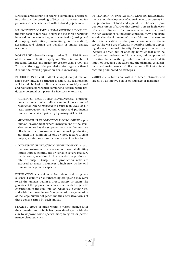LINE:similar to a strain but refers to commercial line breeding, which is the breeding of birds that have outstanding performance characteristics within closed populations.

MANAGEMENT OF FARM ANIMAL GENETIC RESOURCES: the sum total of technical, policy, and logistical operations involved in understanding (characterization), using and developing (utilization), maintaining (conservation), accessing, and sharing the benefits of animal genetic resources.

NOT AT RISK:a breed is categorized as Not at Risk if none of the above definitions apply and:The total number of breeding females and males are greater than 1 000 and 20, respectively; **OR** If the population size is greater than 1 200 and the overall population size is increasing.

PRODUCTION ENVIRONMENT: all input–output relationships, over time, at a particular location.The relationships will include biological, climatic, economic, social, cultural and political factors,which combine to determine the productive potential of a particular livestock enterprise.

- HIGH-INPUT PRODUCTION ENVIRONMENT: a production environment where all rate-limiting inputs to animal production can be managed to ensure high levels of survival, reproduction and output. Output and production risks are constrained primarily by managerial decisions.
- MEDIUM-INPUT PRODUCTION ENVIRONMENT: a production environment where management of the available resources has the scope to overcome the negative effects of the environment on animal production, although it is common for one or more factors to limit output, survival or reproduction in a serious fashion.
- LOW-INPUT PRODUCTION ENVIRONMENT: a production environment where one or more rate-limiting inputs impose continuous or variable severe pressure on livestock, resulting in low survival, reproductive rate or output. Output and production risks are exposed to major influences which may go beyond human management capacity.

POPULATION: a generic term but when used in a genetic sense it defines an interbreeding group, and may refer to all the animals within a breed, variety or strain. The genetics of the population is concerned with the genetic constitution of the sum total of individuals it comprises, and with the transmission from generation to generation of the large number of genes and the alternative forms of these genes carried by each animal.

STRAIN: a group of birds within a variety named after their breeder and which has been developed with the aim to improve some special morphological or performance characteristics.

UTILIZATION OF FARM ANIMAL GENETIC RESOURCES: the use and development of animal genetic resources for the production of food and agriculture. The use in production systems of AnGRs that already possess high levels of adaptive fitness to the environments concerned, and the deployment of sound genetic principles,will facilitate sustainable development of the AnGRs and the sustainable intensification of the production systems themselves.The wise use of AnGRs is possible without depleting domestic animal diversity. Development of AnGRs includes a broad mix of ongoing activities that must be well planned and executed for success,and compounded over time, hence with high value. It requires careful definition of breeding objectives and the planning, establishment and maintenance of effective and efficient animal recording and breeding strategies.

VARIETY: a subdivision within a breed, characterised largely by distinctive colour of plumage or markings.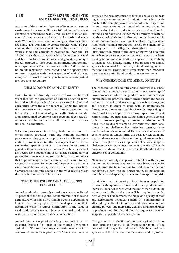# **1.10 CONSERVING DOMESTIC ANIMAL GENETIC RESOURCES**

Estimates of the number of species of living organisms on earth range from two million to 100 million with a best estimate of somewhere near 10 million.Less than 0.5 percent of these species are known to be birds and mammals. Within this small slice of biological diversity there are some 40+ domestic livestock species. Only 14 percent of these species contribute to 82 percent of the world's food and agriculture production. Over the last 12 000 years these 14 species have been domesticated and have evolved into separate and genetically unique breeds adapted to their local environments and community requirements.There are some 6 000 to 7 000 domestic breeds remaining.These breeds and the species they represent, together with the 80+ species of wild relatives, comprise the world's animal genetic resources important for food and agriculture.

# WHAT IS DOMESTIC ANIMAL DIVERSITY?

Domestic animal diversity has evolved over millions of years through the processes of natural selection forming and stabilizing each of the species used in food and agriculture. Over the more recent millennia the interaction between environmental and human selection has led to the development of genetically distinct breeds. Domestic animal diversity is the spectrum of genetic differences within and across all breeds and species utilised in agriculture.

Selection processes, directed by both humans and the environment, together with the random sampling processes causing genetic populations to drift over generations, have accelerated the development of the diversity within species leading to the creation of distinct genetic differences amongst breeds.Thus breeds, as well as species,have become important in the sustainability of production environments and the human communities that depend on agricultural ecosystems. Research to date suggests that about 50 percent of the genetic variation in each domestic animal species is breed level variation. Compared to domestic species, in the wild, relatively less diversity is observed within species.

# WHAT IS THE ROLE OF ANIMAL PRODUCTION IN AGRICULTURE?

Animal production currently contributes between 30 and 40 percent of the total global economic value of food and agriculture with some 1.96 billion people depending at least in part directly upon farm animal species for their livelihood. Whilst its direct contribution to the value of food production is around 19 percent, animal production makes a range of further critical contributions.

Animal production provides a large component of the essential fertilizer for much of the world's developing agriculture.Without these organic nutrients much of the soil would not remain productive. Animal manure also serves as the primary source of fuel for cooking and heating in many communities. In addition animals provide much of the draught power used to cultivate, irrigate and harvest crops, together with much of the transport in the world today. Animal products are also used as fibre for clothing and hides and leather meet a variety of material needs.Animal products are also used in medicines and in some communities have great cultural significance. Additionally, animal production serves to contribute to employment of villagers throughout the year. Furthermore, in much of the developing world domestic animals serve as an important cash reserve,a natural bank making important contributions to poor farmers' ability to manage risk. Finally, having a broad range of animal species is essential for the many mixed farming systems that are almost always more sustainable than monoculture in major agricultural production environments.

# WHY CONSERVE DOMESTIC ANIMAL DIVERSITY?

The conservation of domestic animal diversity is essential to meet future needs.The earth comprises a vast range of environments in which the production of food and agriculture must be practised.These environments are not static but are dynamic and may change through seasons,years and decades. In order to cope with an unpredictable future, genetic reserves capable of readily responding to directional forces imposed by a broad spectrum of environments must be maintained. Maintaining genetic diversity is an insurance package against future adverse conditions. Due to diversity among environments, nutritional standards and challenges from infectious agents, a large number of breeds are required.These act as storehouses of genetic variation which forms the basis for selection and may be drawn upon in times of biological stress such as famine, drought or disease epidemics. The wide range of challenges faced by animals requires the use of a wide range of breeds and species, each specifically adapted to a different set of conditions.

Maintaining diversity also provides stability within a production environment. If more than one breed or species is kept, given the failure of one to produce under certain conditions, others can be drawn upon. By maintaining more breeds and species, farmers are thus spreading risk.

In addition, with increasing global human population pressures, the quantity of food and other products must increase.Indeed,it is predicted that more than a doubling of meat and milk production will be required over the next 20 years. Furthermore, the range and quality of food and agricultural products sought by communities is affected by cultural differences and variations in purchasing powers.The increasing demand for a broad range of products, both locally and globally, requires a dynamic, adaptable, adjustable livestock system.

Changes in the production of food and agriculture influence local ecosystems.The different requirements of the domestic animal species and indeed of the breeds of each species, and the differences in behaviour and in product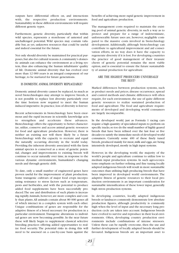outputs have differential effects on, and interactions with, the respective production environments. Sustainability in these different environments will require different genetic types.

Furthermore, genetic diversity, particularly that within wild species, represents a storehouse of untested and unchallenged potential. Wild species may contain valuable but, as yet, unknown resources that could be useful and indeed essential for the future.

Not only should diversity be maintained for practical purposes,but also for cultural reasons.A community's domestic animals can enhance the environment as a living system, thus also enhancing the human inhabitants' quality of life. Domestic animal diversity that has evolved over more than 12 000 years is an integral component of our heritage, to be nurtured for future generations.

#### IS DOMESTIC ANIMAL DIVERSITY REPLACEABLE?

Domestic animal diversity cannot be replaced.As much as novel biotechnologies may attempt to improve breeds, it is not possible to replace lost diversity particularly over the time horizon now required to meet the human induced imperative. In practice, loss of diversity is forever.

Recent achievements in biotechnology have been enormous and the rapid increase in scientific knowledge acts to strengthen and accelerate these advances. Biotechnology offers the opportunity to better characterize, utilize, conserve and access animal genetic resources for food and agriculture production. However, there is neither an existing nor will there likely be a future biotechnology with the capacity to recreate and equal the naturally occurring diversity in the world today. Providing the inherent diversity associated with the farm animal species is conserved as a store of genetic potential, changes and improvements to existing breeds will continue to occur naturally over time, in response to the various dynamic environments, humankind's changing needs and through genetic drift.

To date, only a small number of engineered genes have proven useful for the improvement of plant production. Some transgenic cultivars of major food crops incorporating resistance to stress factors such as temperature, pests and herbicides, and with the potential to produce added food supplements have been successfully produced.The use and distribution of such plants is increasing rapidly.Animals, however, are more complex and costly than plants.All animals contain about 80 000 genes all of which interact in a complex system with each other. Unique combinations of genes are responsible for the adaptive fitness of a breed necessary for production in a particular environment.Transgenic alterations to individual genes are now becoming possible. In the near future these will likely begin to supplement classical selective breeding practices offering added opportunities to realize food security. The potential risks in doing this will need to be assessed on a case-by-case basis against the

benefits of achieving more rapid genetic improvement in food and agriculture production.

The management costs required to maintain the existing pool of animal genetic diversity, in such a way as to protect and prepare for a range of indeterminate, unforeseeable future uses are, however, negligible compared to the massive costs involved in biotechnology development. Additionally, although biotechnology can contribute to agricultural improvement and aid conservation efforts, in no way does it have the capacity to regenerate diversity if it is lost. For developing countries the practice of good management of their treasure chests of genetic potential remains the most viable option, and is essential to ensure the future sustainability of animal production for agriculture.

# ARE THE HIGHEST PRODUCERS UNIVERSALLY THE BEST?

Marked differences between production systems, such as product needs and prices, disease occurrence, spread and control methods and climatic differences will often require, for each environment, the use of quite different genetic resources to realize sustained production of food and agriculture. The food and agriculture requirements of developed and developing world consumers are largely incomparable.

In the developed world, just as Formula 1 racing cars require a high quantity of specialized inputs to perform on specific tracks,so too do the small number of highly geared breeds that have been refined over the last four or five decades to satisfy the immediate needs of developed world consumers. Currently some 400 of these finely tuned breeds, produced mainly for meat, milk and eggs, are being intensively developed, mostly in high input systems.

However, in the developing world, the majority of the world's people and agriculture continue to utilize low to medium input production systems. In such agro-ecosystems emphasis on further refining and fine tuning locally adapted indigenous breeds will result in more sustainable outcomes than utilising high producing breeds that have been improved in developed world environments. The adaptive fitness of genetic resources to their local production environments is an important consideration for sustainable intensification of these lower input, generally high stress production systems.

In developing countries, locally adapted indigenous breeds or landraces commonly demonstrate low absolute production figures, although productivity is commonly high when the level of input and the necessary long production cycle are taken into account. Indigenous breeds have evolved to survive and reproduce in their local environments. Often, developing country production environments include combinations of intense stressors. Unless these can be rapidly overcome, then the use and further development of locally adapted breeds should be favoured. Indigenous breeds are an important asset to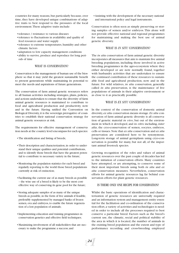countries for many reasons, but particularly because, over time, they have developed unique combinations of adaptive traits to best respond to the pressures of the local environment.These adaptive traits include:

- •tolerance / resistance to various diseases
- •tolerance to fluctuations in availability and quality of feed resources and water supply
- •tolerance to extreme temperatures, humidity and other climatic factors
- •adaptation to low capacity management conditions
- •ability to survive, produce and reproduce for long periods of time

# WHAT IS CONSERVATION?

Conservation is the management of human use of the biosphere so that it may yield the greatest sustainable benefit to present generations while maintaining its potential to meet the needs and aspirations of future generations.

The conservation of farm animal genetic resources refers to all human activities including strategies, plans, policies, and actions undertaken to ensure that the diversity of farm animal genetic resources is maintained to contribute to food and agricultural production and productivity, now and in the future. Having ratified the Convention on Biological Diversity, it is the sovereign prerogative of countries to establish their national conservation strategy for animal genetic resources at risk.

The requirements for effective management of conservation needs at the country level encompass for each species:

- •The identification and listing of breeds;
- •Their description and characterization, in order to understand their unique qualities and potential contributions, and to identify those breeds that have the greatest potential to contribute to necessary variety in the future;
- •Monitoring the population statistics for each breed and regularly reporting to the world those breed populations currently at risk of extinction;
- •Facilitating the current use of as many breeds as possible – the wise use of a breed is likely to be the most costeffective way of conserving its gene pool for the future;
- •Storing adequate samples of as many of the unique breeds as possible, in the form of live animals if feasible, preferably supplemented by managed banks of frozen semen, ova and embryos, to enable the future regeneration of a lost population of animals;
- •Implementing education and training programmes in conservation genetics and effective field techniques;
- •Maximizing involvement of all stakeholders that are necessary to make the programme a success; and

•Assisting with the development of the necessary national and international policy and legal instruments.

Conservation is often seen as simply preserving or storing samples of semen and/or embryos. This alone will not provide effective national and regional programmes for maintaining and making the best use of animal genetic diversity.

# WHAT IS *IN SITU* CONSERVATION?

The *in situ* conservation of farm animal genetic diversity incorporates all measures that aim to maintain live animal breeding populations, including those involved in active breeding programmes in the agro-ecosystem where they either developed or are now normally found, together with husbandry activities that are undertaken to ensure the continued contribution of these resources to sustainable food and agricultural production, now and in the future. For wild relatives, *in situ* conservation, generally called *in situ* preservation, is the maintenance of live populations of animals in their adaptive environment or as close to it as practically possible.

# WHAT IS *EX SITU* CONSERVATION?

In the context of the conservation of domestic animal diversity, *ex situ* conservation means storage.*Ex situ* conservation of farm animal genetic diversity is all conservation of genetic material *in vivo*, but out of the environment in which it developed, and *in vitro* including, *inter alia*, the cryo-conservation of semen, oocytes, embryos, cells or tissues.Note that *ex situ* conservation and *ex situ* preservation are considered here to be synonymous. Long-term storage of animal germplasm using cryo-conservation is possible for many, but not all, of the important animal livestock species.

Growing recognition of the roles and values of animal genetic resources over the past couple of decades has led to the initiation of conservation efforts. Many countries have attempted, or are attempting, to conserve some of their most important breeds using both *in situ* and *ex situ* conservation measures. Nevertheless, conservation efforts for animal genetic resources lag far behind conservation efforts for plant genetic resources.

# IS THERE ONLY ONE RECIPE FOR CONSERVATION?

Whilst the basic operations of identification and characterization of genetic resources are universally required and an information system and management entity essential for the facilitation and co-ordination of the conservation effort,a variety of activities and technologies is needed in order to include all the processes required to best conserve a particular breed. Factors such as the breed's current use, the climatic, social and political stability of the area in which it is located, the number of animals in the existing breed population and the extent and type of performance recording and cross-breeding employed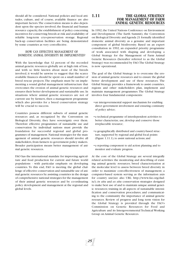should all be considered. National policies and local attitudes, culture, and of course, available finance are also important factors.The conservation means is also dependent upon the species involved, the financial and human resource capacity, the establishment of policy concerning incentives for conserving breeds at risk and availability of reliable long-term cryo-preservation storage. Regional back-up conservation facilities are being demonstrated by some countries as very cost-effective.

# HOW CAN EFFECTIVE MANAGEMENT OF DOMESTIC ANIMAL DIVERSITY BE IMPLEMENTED?

With the knowledge that 32 percent of the recorded animal genetic resources globally are at high risk of loss, and with so little known about most of the breeds involved, it would be unwise to suggest that the scarce available finances should be spent on a small number of breed rescue projects.The emphasis must be on implementing a sound global management infrastructure that overcomes the erosion of animal genetic resources and ensures their better development and sustainable use.In situations where animal genetic resources are not of current use by farmers, then a management programme which also provides for a breed conservation strategy will be crucial to success.

Countries possess different subsets of animal genetic resources and, as recognized by the Convention on Biological Diversity, they have sovereignty over them. Therefore effective programmes of sustainable use and conservation by individual nations must provide the foundation for successful regional and global programmes of management. National strategies for the management of animal genetic resources should involve all stakeholders, from farmers to government policy makers. Broader participation means better management of animal genetic resources.

FAO has the international mandate for improving agriculture and food production for current and future world populations - with particular emphasis on developing countries. To this end, FAO is meeting the global challenge of effective conservation and sustainable use of animal genetic resources by assisting countries in the design of comprehensive national strategies for the management of their animal genetic resources and by co-ordinating policy development and management at the regional and global levels.

# **1.11 THE GLOBAL STRATEGY FOR MANAGEMENT OF FARM ANIMAL GENETIC RESOURCES**

In 1992, the United Nations Conference on Environment and Development (The Earth Summit), the Convention on Biological Diversity and Agenda 21 formally identified domestic animal diversity as a genuine and important component of global biodiversity. Based on an expert consultation in 1992, an expanded priority programme of work associated with shaping and developing a Global Strategy for the Management of Farm Animal Genetic Resources (hereafter referred to as the Global Strategy) was recommended by FAO.The Global Strategy is now operational.

The goal of the Global Strategy is to overcome the erosion of animal genetic resources and to ensure the global better development and use of these resources. The Global Strategy provides a framework to assist countries, regions and other stakeholders plan, implement and maintain management programmes. The Global Strategy involves four fundamental components:

- •an intergovernmental support mechanism for enabling direct government involvement and ensuring continuity of policy advice;
- •a technical programme of interdependent activities to better characterize, use, develop and conserve those irreplaceable resource;
- •a geographically distributed and country-based structure, supported by regional and global focal points (Figure 1.11.1), to assist national actions; and
- •a reporting component to aid action planning and to monitor and evaluate progress.

At the core of the Global Strategy are several integrally related activities: the monitoring and describing of existing animal genetic resources; breed characterization at the molecular level to assess between breed diversity in order to maximize cost-effectiveness of management; a computer-based system serving as the information axis for country use(see also URL: http://www.fao.org/dadis/); *in situ* and *ex situ* conservation strategies designed to make best use of and to maintain unique animal genetic resources; training in all aspects of sustainable intensification and conservation procedures; and communicating to the community the importance of animal genetic resources. Review of progress and long term vision for the Global Strategy is provided through the FAO's Commission on Genetic Resources for Food and Agriculture and its Intergovernmental Technical Working Group on Animal Genetic Resources.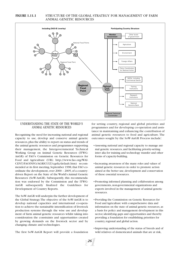# **FIGURE 1.11.1** STRUCTURE OF THE GLOBAL STRATEGY FOR MANAGEMENT OF FARM ANIMAL GENETIC RESOURCES



# UNDERSTANDING THE STATE OF THE WORLD'S ANIMAL GENETIC RESOURCES

Recognising the need for increasing national and regional capacity to use, develop and conserve animal genetic resources, plus the ability to report on status and trends of the animal genetic resources and programmes supporting their management, the Intergovernmental Technical Working Group on Animal Genetic Resources (ITWG-AnGR) of FAO's Commission on Genetic Resources for Food and Agriculture (URL: http://www.fao.org/WAI-CENT/FAOINFO/AGRICULT/cgrfa/default.htm) recommended at its first meeting, September 1998, that FAO coordinate the development,over 2000 – 2005,of a countrydriven Report on the State of the World's Animal Genetic Resources (SoW-AnGR). Subsequently, this recommendation was endorsed by the Commission and the ITWG-AnGR subsequently finalized the Guidelines for Development of Country Reports.

The SoW-AnGR will underpin the further development of the Global Strategy.The objective of the SoW-AnGR is to develop national capacities and international co-operation to achieve the sustainable intensification of livestock production systems through the wise use and development of farm animal genetic resources whilst taking into consideration the constraints and opportunities created by growing demands on the livestock sector and by changing climate and technologies.

The first SoW-AnGR Report will provide a foundation

for setting country, regional and global priorities and programmes and for developing co-operation and assistance in maintaining and enhancing the contribution of animal genetic resources to food and agriculture. The outcomes sought by the SoW-AnGR Process include:

- •Assessing national and regional capacity to manage animal genetic resources, and facilitating priority-setting inter alia for training and technology transfer and other forms of capacity-building.
- •Increasing awareness of the many roles and values of animal genetic resources in order to promote action aimed at the better use, development and conservation of these essential resources.
- •Promoting informed planning and collaboration among governments, non-governmental organizations and experts involved in the management of animal genetic resources.
- •Providing the Commission on Genetic Resources for Food and Agriculture with comprehensive data and information on the state of animal genetic resources, as a basis for policy and management development in this sector, identifying gaps and opportunities and thereby providing a foundation for establishing priorities for country, regional and global action.
- •Improving understanding of the status of breeds and of wild relatives of domesticated animals that are at risk,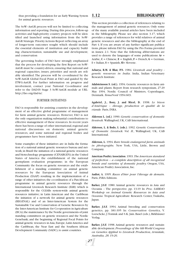thus providing a foundation for an Early Warning System for animal genetic resources.

The SoW–AnGR process will not be limited to collecting information and reporting. During this process, follow-up activities and high-priority country projects will be identified and launched using information from the SoW-AnGR Strategic Priority Actions Report reflecting an array of longer-term outcomes sought which should include the essential elements of: institution and capacity building; characterization, sustainable use and development; and conservation

The governing bodies of FAO have strongly emphasized that the process for developing the first Report on SoW-AnGR must be country-driven, ensuring that national and regional capacities, issues, priorities and needs are reliably identified. The process will be co-ordinated by the SoW-AnGR Global Focal Point at FAO and guided by the ITWG-AnGR. For further information on progress and involvement, contact your National Co-ordinator and refer to the DAD-IS Stage 3 SoW-AnGR module at URL: http://fao.org/dad-is/.

#### FURTHER INITIATIVES

FAO is responsible for assisting countries in the development of an effective global programme of management for farm animal genetic resources. However, FAO is not the only organization making substantial contributions to effective management of these resources. In recent years there has been a range of other international, regional and national discussions on domestic animal genetic resources, and some national and regional bodies and programmes have been initiated.

Some examples of these initiatives are: in India the formation of a national animal genetic resources bureau and network; in Brazil the initiation of a national genetic resources and biotechnology programme (CENARGEN); in the United States of America the establishment of the national germplasm evaluation programme; in the European Community the focus on genetic resources and the establishment of a standing committee on animal genetic resources by the European Association of Animal Production (EAAP) resulting in the implementation of a range of other initiatives; the co-ordination of a Pan-African programme in animal genetic resources through the International Livestock Research Institute (ILRI) which is responsible for the CGIARs system-wide animal genetic resources initiative; in Latin American and the Caribbean the initiation of a network for animal genetic resources (REGENAL) and of an Inter-American System for the Sustainable Use and Conservation of Genetic Resources by the Inter-American Institute for Co-operation in Agriculture (IICA);the maintenance by the Nordic governments of joint standing committees on genetic resources and the Nordic Genebank; and the beginning of Regional Focal Points for animal genetic resources in Asia, Europe, Latin America and the Caribbean, the Near East and the Southern African Development Community (SADC), to assist countries.

This section provides a collection of references relating to the management of animal genetic resources. Only some of the many available journal articles have been included in the bibliography. Please see also section 3.17, which provides a range of references for wild relatives of animal genetic resources and also the bibliography at the end of Part 4. If you are aware of any further significant publications, please inform FAO by using the Pro Forma provided in Annex 2.1. Note that the following abbreviations are used to denote the languages of some publications: **Ar** = Arabic,  $C =$  Chinese,  $E =$  English,  $F =$  French,  $G =$  German, **I** = Italian, **S** = Spanish, **Sl**= Slovene.

**Acharya, R.M. & Bhat, P.N.** 1984. *Livestock and poultry genetic resources in India*. India, Indian Veterinary Research Institute.

**Adalsteinsson S. (ed.).** 1994. Genetic resources in farm animals and plants. Report from research symposium, 27-29 May 1994. Nordic Council of Ministers, Copenhagen, Denmark. *TemaNord* 1994:603.

**Agabriel, J., Bony, J. and Micol, D.** 1998*. Le bison d'Amérique – élevage, production et qualité de la viande.* Paris, INRA.

**Alderson L. (ed.)**. 1990. *Genetic conservation of domestic livestock.* Wallingford, UK, CAB International.

**Alderson, L. & Bodo, I. (eds.)**. 1992. *Genetic Conservation of Domestic Livestock. Vol. II.*, Wallingford, UK, CAB International.

**Alderson, L.** 1994.*Rare breeds: endangered farm animals in photographs.* New York, USA, Little, Brown and Company.

**American Poultry Association**.1993.*The American standard of perfection – a complete description of all recognized breeds and varieties of domestic poultry.* Oregon, USA, American Poultry Association, Inc.

**Audiot, A.** 1995. *Races d'hier pour l'élevage de demain.* Paris, INRA Editions.

**Barker, J.S.F.** 1980. Animal genetic resources in Asia and Oceania – The perspective. pp. 13-19 In: *Proc. SABRAO Workshop on Animal Genetic Resources in Asia and Oceania.* Tropical Agriculture Research Center, Tsukuba, Japan.

**Barker, J.S.F.** 1994. Animal breeding and conservation genetics, pp. 381-395 In: *Conservation Genetics,* V. Loeschcke, J.Tomiuk and S.K. Jain. Basel (eds.), Birkhäuser Verlag.

**Barker, J.S.F.** 1998. Animal genetic resources and sustainable development.*Proceedings of the 6th World Congress on Genetics Applied to Livestock Production, Armidale, Australia, 28. 19-26.*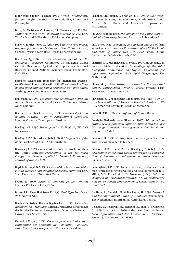**Biodiversity Support Program**. 1993. *African biodiversity: foundation for the future.* Maryland, USA, Professional Printing Inc.

**Bixby, D., Christman, C., Ehrman, C.J., Sponenberg, D.P.** 1994. *Taking stock: the North American livestock census.* USA, The McDonald & Woodward Publishing Company

**Blake, V. & Price-Jones, D. (eds.)** 1994*. Raising rare breeds: heritage poultry breeds Conservation Guide.* Ontario, Canada, Joywind Farm Rare Breeds Conservancy Inc.

**Board on Agriculture**. 1993. *Managing global genetic resources - livestock.* Committee on Managing Global Genetic Resources: Agricultural Imperatives, National Research Council. National Academy Press, Washington, D.C., USA.

**Board on Science and Technology for International Development/National Research Council.** 1991 *Microlivestock – littleknown small animals with a promising economic future.* Washington, DC, National Academic Press.

**Boujenane, I.** 1999. *Les ressources génétiques ovines au maroc.* Documents Scientifiques et Techniques. Maroc, Actes Editions.

**Bourne, D. & Blench, R. (eds.)**. 1999*. Can livestock and wildlife co-exist? – an interdisciplinary approach.* London, Overseas Development Institute.

**Bowling, A.T.** 1996. *Horse genetics.* Wallingford, UK, CAB International.

**Bowling, A.T. & Ruvinsky, A. (eds.).** 2000. *The genetics of the horse.* Wallingford, UK, CAB International.

**Bowman, J.C.** 1974.Conservation of rare livestock breeds in the United Kingdom.*Proceedings of the 1st World Congress on Genetics Applied to Livestock Production, Madrid, Spain*, 2, 23-29.

**Boyd, L. & Houpt, K.A.** 1994*.Przewalski's horse – the history and biology of an endangered species.* New York,USA, State University of New York Press.

**Brown, E.** 1906. *Races of domestic poultry.* Reprint Learnex Publishers Ltd. (1985).

**Brown, L.R., Kane, H. & Ayres, E.** 1993.*Vital Signs*.New York, W.W. Norton &Co.

**Bundes Deutscher Rassegeflügelzüchter**. 1995. *Deutscher Rassegeflügel – Standard.* Offizielle Musterbeschreibungen des Bundes Deutscher Rassegeflügelzüchter e.V. Nürnberg, Howa Druck & Satz GmbH.

**Cadavid, A.Z. (ed.)**. 1993. *Recursos genéticos indígenas y campesinos del occidente de Colombia – política, situación actual y perspectivas.* Corpes de Occidente.

**Campher, J.P., Hunlun, C. & van Zyl, G.J.** 1998. *South African livestock breeding.* Bloemfontein, South Africa, South African Stud Book and Livestock Improvement Association.

**CBD/UN/UNEP.** In prep. *Handbook of the convention on biological diversity.* London, Earthscan Publications Ltd.

**CEC.** 1993. Data collection, conservation and use of farm animal genetic resources.*Proceedings of a CEC Workshop and Training Course, Dec. 7.-9. 1992*. Simon, D. and Buchenauer D (eds.). Brussels, CEC.

**Charrier, A. & van Haarlem, R. (eds.)**. 1997. Biodiversity, an issue in higher education. *Proceedings of the third European Conference on Higher Education for Agriculture. September 18-21 1996.* Wageningen, The Netherlands.

**Chiperzak, J.** 1994*. Raising rare breeds – livestock and poultry conservation.* Ontario, Canada, Joywind Farm Rare Breeds Conservancy Inc.

**Christman, C.J., Sponenberg D.P. & Bixby D.E. (eds.)**. 1997. *A rare breeds album of American livestock.* Pittsboro, NC, USA,American Livestock Breeds Conservancy

**Cockrill, W.R.** 1976. *The buffaloes of China.* Rome.

**Consiglio Nationale delle Ricerche**. 1997. *Atlante ethnografico delle popolazioni equine e asinine Italiane - per la salvaguardia delle risors genetiche.* Gandini, G. and Rognoni, G. (eds.)

**Crawford, R.** 1990. *Poultry breeding and genetics.* New York, Elsevier Science Publishers.

**Crawford, R.D., Lister, E.E. & Buckley, J.T. (eds.)**. 1995. *Proceedings of the third global conference on conservation of domestic animal genetic resources,* Kingston, Canada,August 1994.

**Cunningham, E.P.** 1996. Genetic diversity in domestic animals:strategies for conservation and development.In:R.H. Miller, V.G. Pursal & H.D. Norman (eds.) *Beltsville Symposia in Agricultural Research XX, Biotechnology's Role in the Genetic Improvement of Farm Animals,* ASA, USA, 13-23

**De Haan, C., Steinfeld, H. & Blackburn, H.** 1998 *Livestock and the environment – finding a balance.* Wageningen, The Netherlands, International Agricultural Centre.

**Delgado, C., Rosegrant, M., Steinfeld, H., Ehui, S. & Courbois, C.** 1999. Livestock to 2020 – the next food revolution. *Food, Agriculture and the Environment Discussion Paper 28.* Washington, DC, IFPRI.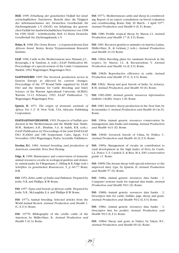**DGfZ**. 1999. *Erhaltung der genetischen Vielfalt bei landwirtschaftlichen Nutztieren.* Bericht über die Tätigkeit des Arbeitausschusses der Deutschen Gesellschaft für Züchtungskunde e.V. (DGfZ) zur Erhaltung der genetischen Vielfalt bei landwirtschaftlichen Nutztieren von 1998 bis 1999. DGfZ – Schriftenreihe. Heft 14. Bonn, Deutsche Gesellschaft fur Züchtungskunde e.V.

**Dolan, R.** 1998.*The Orma Boran – a trypanotolerant East African breed.* Kenya, Kenya Trypanosomiasis Research Institute.

**EAAP**. 1996. Cattle in the Mediterranean area. Flamant, J.C., Boyazoglu, J. & Nardone, A. (eds.) *EAAP Publication* 86. Proceedings of a special session of the Cattle Commission Madrid. 1992.Wageningen,Wageningen Pers.

**EAAP/FAO/ICBDS**. 1995.The livestock production sector in Eastern Europe as affected by current changes. Proceedings of the 3rd Round Table organized by EAAP, FAO and the Institute for Cattle Breeding and Dairy Science of the Warsaw Agricultural University (ICBDS), Warsaw, 11-13 February. 1993. *EAAP Publication 73.* Wageningen,Wageningen Pers.

**Epstein, H.** 1971. *The origin of domestic animals of Africa. Vol. I & II.* New York, USA, Africana Publishing Corporation.

**ESAP/EAAP/FAO/CIHEAM/OIE**.1993.Prospects of buffalo production in the Mediterranean and the Middle East. Shafie, M.M., Barkawi, A.H., Ibrahim, S.A. & Sadek, R.R. (eds*.). EAAP Publication 62.*Proceedings of the joint ESAP,EAAP, FAO, ICAMAS and OIE Symposium, Cairo, Egypt, 9-12 November.1992.Wageningen,Pudoc Scientific Publishers.

**Escobar, R.C.** 1984. *Animal breeding and production of American camelids.* Peru, Ron Hennig.

**Falge, R.** 1996. Maintenance and conservation of domestic animal resources *ex-situ* in zoological gardens and domestic animal parks.In:F.Begemann,C.Ehling & R.Falge (eds.) *Schriften zu genetischen Ressourcen, 5, p. 60-77*. Bonn, IGR.

**FAO**.1953.*Zebu cattle of India and Pakistan.* Prepared by Joshi, N.R. and Phillips, R.W. Rome.

**FAO**.1957.*Types and breeds of African cattle.* Prepared by Joshi, N.R., McLaughlin E.A. and Phillips R.W. Rome.

**FAO**. 1977a. Animal breeding. Selected articles from the World Animal Review. *Animal Production and Health* 1. (C, E, F, S). Rome.

**FAO.** 1977b. Bibliography of the criollo cattle of the Americas, by Müller-Haye, B.. *Animal Production and Health* 5 (E, S). Rome.

**FAO**. 1977c. Mediterranean cattle and sheep in crossbreeding. Report of an expert consultation on breed evaluation and crossbreeding, Rome, Italy 30 March - 1 April 1977. *Animal Production and Health* 6 (E, F). Rome.

**FAO.** 1980. Prolific tropical sheep, by Mason, I.L. *Animal Production and Health* 17 (E, F, S). Rome.

**FAO**.1981.Recursos genéticos animales en América Latina. Müller-Haye, B., & Gelman, J. (eds.). *Animal Production and Health* 22 (S) Rome.

**FAO.** 1982a. Breeding plans for ruminant livestock in the tropics, by Mason, I.L. & Buvanendran, V. *Animal Production and Health* 34 (E, F, S). Rome.

**FAO**. 1982b. Reproductive efficiency in cattle. *Animal Production and Health* 25 (C, E, F, S). Rome.

**FAO**. 1982c. Sheep and goat breeds of India, by Acharya, R.M. *Animal Production and Health* 30 (E). Rome.

**FAO**. 1983-2000. *Animal genetic resources information bulletin (AGRI),* Issues 1-26. Rome.

**FAO**.1983.Intensive sheep production in the Near East,by Economides,S.*Animal Production and Health* 40 (Ar,E). Rome.

**FAO**. 1984a. Animal genetic resources conservation by management,data banks and training.*Animal Production and Health* 44/1 (E). Rome.

**FAO.** 1984b. Livestock breeds of China, by Peilieu, C. *Animal Production and Health* 46 (E, F, S). Rome.

**FAO.** 1985a. Management of vicuña: its contribution to rural development in the high Andes of Peru, by Cuefo, L.J., Ponce, C.F., Cardich, E. & Rios, M.A. *FAO conservation guide 11.* Rome.

**FAO**.1985b.The Awassi sheep with special reference to the improved dairy type, by Epstein, H. *Animal Production and Health* 57 (E). Rome.

**FAO**. 1986a. Animal genetic resources data banks - 1. Computer systems study for regional data banks. *Animal Production and Health* 59/1 (E). Rome.

**FAO**. 1986b. Animal genetic resources data banks - 2. Descriptor lists for cattle, buffalo, pigs, sheep and goats. *Animal Production and Health* 59/2 (E, F, S). Rome.

**FAO**. 1986c. Animal genetic resources data banks - 3. Descriptor lists for poultry. *Animal Production and Health* 59/3 (E, F, S). Rome.

**FAO.** 1986d. Sheep and goats in Turkey, by Yalçin, B.C. *Animal Production and Health* 60 (E). Rome.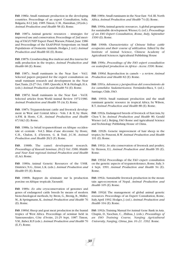**FAO**. 1986e. Small ruminant production in the developing countries. Proceedings of an expert Consultation, Sofia, Bulgaria, 8-12 July. 1985.Timon, U.M., Hanrahan, J.P.(eds.). *Animal Production and Health* 58 (E). Rome.

**FAO**. 1987a. Animal genetic resources - strategies for improved use and conservation. Proceedings of 2nd meeting of FAO/UNEP Expert Panel,Warsaw, Poland, June 1986 and Proceedings of the EAAP/PSAS Symposium on Small Populations of Domestic Animals. Hodges, J. (ed.) *Animal Production and Health* 66 (E). Rome.

**FAO**.1987b.Crossbreeding *Bos indicus* and *Bos taurus* for milk production in the tropics. *Animal Production and Health* 68 (E). Rome.

**FAO**. 1987c. Small ruminants in the Near East - Vol.I. Selected papers prepared for the expert consultation on small ruminant research and development in the Near East,Tunis,23-27 Oct**.** 1985.Qureshi,A.W.& Fitzhugh,H.A. (eds.) *Animal Production and Health* 54 (E). Rome.

**FAO**. 1987d. Small ruminants in the Near East - Vol.II. Selected articles from World Animal Review 1972-1986. *Animal Production and Health* 55 (Ar, E). Rome.

**FAO.** 1987e.Trypanotolerant cattle and livestock development in West and Central Africa - Vols. I & II, by Shaw, A.P.M. & Hoste, C.H.. *Animal Production and Health* 67/1&2 (E). Rome.

**FAO.** 1988a. Le bétail trypanotolérant en Afrique occidentale et centrale - Vol.3. Bilan d'une décennie. by Hoste, C.H., Chalon, E. d'Ieteren, G. & Trail, J.C.M. *Animal Production and Health* 20/3 (F). Rome.

**FAO**. 1988b. The camel: development research. *Proceedings of Kuwait Seminar, 20-23 Oct. 1986. Middle and Near East regional Animal Production and Health* (E,Ar). Rome.

**FAO**. 1989a. Animal Genetic Resources of the USSR. Dmitriev, N.G., Ernst, L.K. (eds.). *Animal Production and Health* 65 (E). Rome.

**FAO**. 1989b. Rapport du séminaire sur la production porcine en Afrique tropicale,Yaoundé*.*

**FAO**. 1989c. *Ex situ* cryoconservation of genomes and genes of endangered cattle breeds by means of modern biotechnological methods, by Brem, G., Brenig, B., Müller, M., & Springmann, K**.** *Animal Production and Health* 76 (E). Rome.

**FAO**.1989d.Sheep and goat meat production in the humid tropics of West Africa. Proceedings of seminar held in Yamoussoukro, Côte d'Ivoire, 21-25 Sept**.** 1987. Timon, V.M., Baber, R.P. (eds.).*Animal Production and Health* 70 (E, F). Rome.

FAO. 1989e. Small ruminants in the Near East - Vol. III. North Africa.*Animal Production and Health* 74 (E). Rome.

**FAO.** 1990a.Animal genetic resources. A global programme for sustainable development.Wiener, G. (ed.). *Proceedings of an FAO Expert Consultation, Rome, Italy, September 1990* (E). Rome.

**FAO**. 1990b*. Characteristics of Chinese Yellow cattle ecospecies and their course of utilization.* Edited by the Institute of Animal Science, Chinese Academy of Agricultural Sciences.Agricultural Publishing House

**FAO**. 1990c. *Proceedings of the FAO expert consultation on waterfowl production in Africa - Accra. 1990.* Rome.

**FAO**. 1990d. Reproduction in camels – a review. *Animal Production and Health* 82 (E). Rome.

**FAO**.1991a.*Advances y perspectivas del conocimiento de los camelidos Sudamericanos.* Fernández-Baca, S. (ed.). Santiago, Chile, FAO.

**FAO.** 1991b. Small ruminant production and the small ruminant genetic resource in tropical Africa, by Wilson, R.T. *Animal Production and Health* 88 (E). Rome.

**FAO**. 1992a. Endangered breeds of livestock of East Asia, by Chen Y. In: *Animal Production and Health* 80, Gerald Wiener (ed.). Beijing, FAO Rome and Agricultural Science and Technology Publishing House of China.

**FAO.** 1992b. Genetic improvement of hair sheep in the tropics, by Ponzoni, R.W*.Animal Production and Health* 101 (E). Rome.

**FAO.** 1992c. *In situ* conservation of livestock and poultry, by Henson, E.L. *Animal Production and Health* 99 (E). Rome.

**FAO**. 1992d. Proceedings of the FAO expert consultation on the genetic aspects of trypanotolerance, Rome, Italy, 3- 4 Sept**.** 1991. *Animal Production and Health* 94 (E). Rome.

**FAO**. 1992c. Sustainable livestock production in the mountain agro-ecosystem of Nepal. *Animal Production and Health* 105 (E). Rome.

**FAO**. 1992d. The management of global animal genetic resources. Proceedings of an Expert Consultation, Rome, Italy,April 1992. Hodges, J. (ed.). *Animal Production and Health* 104 (E). Rome.

**FAO**. 1992e.Training Manual for Animal Gene Bank in Asia. Chupin, D., Yaochun, C., Zhihua, J. (eds.). *Proceedings of an FAO Training Course, Nanjing Agricultural University, Nanjing, China, Jan. 10.-21. 1992.* Rome.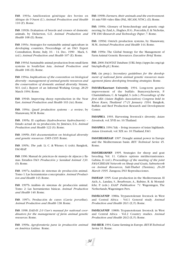**FAO**. 1993a. Amélioration génétique des bovins en Afrique de l'Ouest (L'). *Animal Production and Health* 110 (F). Rome.

**FAO**. 1993b. Evaluation of breeds and crosses of domestic animals, by Dickerson, G.E. *Animal Production and Health* 108 (E). Rome.

**FAO**. 1993c. Strategies for sustainable animal agriculture in developing countries, Proceedings of an FAO Expert Consultation, Rome, Italy, 10. - 14. Dec**.** 1990 . Mack, S. (ed.). *Animal Production and Health* 107 (E). Rome.

**FAO**.1993d.Sustainable animal production from small farm systems in South-East Asia. *Animal Production and Health* 106 (E). Rome.

**FAO**. 1994a.*Implications of the convention on biological diversity - management of animal genetic resources and the conservation of domestic animal diversity.* Strauss, M.S. (ed.). Report of an Informal Working Group, 28-29 March 1994. Rome.

**FAO**. 1994b. Improving sheep reproduction in the Near East. *Animal Production and Health* 103 (Ar). Rome.

**FAO.** 1994c. *Quail production systems - a review*, by Shanawany, M.M. Rome.

**FAO.** 1995a. El capibara (*hydrochoerus hydrochaeris*) – Estado actual de su producción, by Jiménez, E.G. *Animal Production and Health* 122 (S). Rome.

**FAO**. 1995b. *FAO documentation on biological diversity and genetic resources 1985-1995*. Rome.

**FAO**. 1995c. *The yak.* Li. C. & Wiener, G (eds). Bangkok, FAO-RAP.

**FAO**. 1996. Manual de prácticas de manejo de alpacas y llamas. Estudios FAO: *Producción y Sanidad Animal 130*. (S). Rome.

**FAO**. 1997a. Análisis de sistemas de producción animal. Tomo 1: Las herramientas conceptuales*. Animal Production and Health* 143.Rome.

**FAO**. 1997b. Análisis de sistemas de producción animal. Tomo 2: Las herramientas básicas. *Animal Production and Health* 140. Rome.

**FAO**. 1997c. Producción de cuyes (*Cavia porcellus*). *Animal Production and Health* 138. Rome.

**FAO**. 1998. *DAD-IS 2.0 User's manual for national coordinators for the management of farm animal genetic resources*. Rome.

**FAO**. 1999a. *Agroforestería para la producción animal en América Latina.* Rome.

**FAO**.1999b.*Farmers, their animals and the environment.* 16 min VHS video film (PAL, SECAM, NTSC). (E). Rome.

**FAO.** 1999c. Glossary of biotechnology and genetic engineering,by Zaid,A.,Hughes,H.G.,Porceddu,E.& Nicholas, F.W. *FAO Research and Technology Paper*, 7. Rome.

**FAO.** 1999d. Ostrich production systems, by Shanawany, M.M*. Animal Production and Health* 144. Rome.

**FAO**. 1999e. The Global Strategy for the Management of Farm Animal Genetic Resources. *Executive Brief.* Rome.

**FAO.** 2000.FAOSTAT Database [URL:http://apps.fao.org/cgibin/nph-db.pl.]. Rome.

**FAO,** (in prep.). *Secondary guidelines for the development of national farm animal genetic resources management plans: developing breeding strategies.* Rome.

**FAO/ABA/Kasetsart University**. 1994. Long-term genetic improvement of the buffalo. Bunyavejchewin, P. Chantalakhana, C. & Sangdid, S. (eds.). *Proceedings of the first ABA (Asian Buffalo Association) Congress held in Khon Kaen, Thailand 17-21 January 1994.* Bangkok, Buffalo and Beef Production Research and Development Center.

**FAO/APHCA**. 1993. Harvesting livestock's diversity. *Asian Livestock,* vol. XVII no. 10.Thailand.

**FAO/APHCA**. 1994.Yak – living treasures of Asian highlands. *Asian Livestock,* vol. XIX no. 10.Thailand, FAO.

**FAO/CIHEAM/EAAP**. 1997. Draught animal power in Europe and the Mediterranean basin. *REU Technical Series* 45. Rome.

**FAO/CIHEAM/OEP**. 1995. Strategies for sheep and goat breeding. Vol. 11. Cahiers options méditerranéennes*.* Gabina, D. (ed.). *Proceedings of the meeting of the joint FAO/CIHEAM Network on Sheep and Goats, Subnetwork on Animal Resources, Sidi-Thabet (Tunisia), 26-28 March 1995.* Zaragoza, INO Reproducciones.

**FAO/EAAP**. 1995. Goat production in the Mediterranean. El Aich, A., Landau, S., Bourbouze, A., Rubino, R. & Morandfehr, P. (eds.) *EAAP Publication 71*. Wageningen, The Netherlands,Wageningen Pers.

**FAO/ILCA/UNEP**. 1980a. Trypanotolerant livestock in West and Central Africa - Vol.1 General study. *Animal Production and Health* 20/1 (E, F). Rome.

**FAO/ILCA/UNEP**. 1980b. Trypanotolerant livestock in West and Central Africa - Vol.2 Country studies. *Animal Production and Health* 20/2 (E, F). Rome.

**FAO-REUR**.1994.Game farming in Europe.*REUR Technical Series* 31. Rome.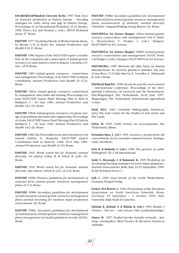**FAO-REUR/EAAP/Humbolt University Berlin**. 1997. Task force on livestock production in Eastern Europe – breeding strategies for cattle, sheep and pigs in Eastern Europe. Proceedings of an International Workshop 21-22 January. 1996. Peters, K.J. and Renaud, J. (eds.). *REUR Technical Series* 47*.* Rome.

**FAO/UNEP**.1977.Declining breeds of Mediterranean sheep, by Brooke, C.H. & Ryder, M.I. *Animal Production and Health* 8 (E, F). Rome.

**FAO/UNEP**. 1980. Report of the FAO/UNEP expert consultation on the evaluation and conservation of animal genetic resources in Latin America, held in Bogotá, Colombia, 6-9. Nov**.** 1978. Rome.

**FAO/UNEP**. 1981. Animal genetic resources - conservation and management. Proceedings of an FAO/UNEP technical consultation. *Animal Production and Health* 24 (C,E). Rome.

**FAO/UNEP.** 1984a. Animal genetic resources conservation by management, data banks and training, Proceedings of a Joint FAO/UNEP Expert Panel Meeting (Part I) held in Budapest, 5. - 16. Sept. 1983. *Animal Production and Health* 44/1 (E). Rome.

**FAO/UNEP.** 1984b. Animal genetic resources: cryogenic storage of germplasm and molecular engineering, Proceedings of a Joint FAO/UNEP Expert Panel Meeting (Part II) held in Budapest, 5. - 16. Sept. 1983. *Animal Production and Health* 44/2 (E). Rome.

**FAO/UNEP.** 1986.The Przewalski horse and restoration to its natural habitat in Mongolia. FAO/UNEP Expert Consultation held in Moscow, USSR, 29-31 May 1985. *Animal Production and Health* 61 (E). Rome.

**FAO/UNEP.** 1993. *World watch list for domestic animal diversity,* 1st edition. Loftus, R. & Scherf, B. (eds). (E). Rome.

**FAO/UNEP.** 1995. *World watch list for domestic animal diversity*, 2nd edition. Scherf, B. (ed.). (E, F, S). Rome.

**FAO/UNEP.** 1998a. *Primary guidelines for development of national farm animal genetic resources management plans*. (E, F, S). Rome.

**FAO/UNEP.** 1998b. *Secondary guidelines for development of national farm animal genetic resources management plans: animal recording for medium input production environment.* (E). Rome.

**FAO/UNEP**. 1998c. *Secondary guidelines for development of national farm animal genetic resources management plans:management of small populations at risk.* (E/F/S). Rome.

**FAO/UNEP**. 1998d. *Secondary guidelines for development of national farm animal genetic resources management plans: measurement of domestic animal diversity (MoDAD).* Original Working Group Report. (E). Rome.

**FAO/UNEP/Uni. Vet. Science, Hungary**. 1984a*.Animal genetic resource conservation and management (Vol.1).* Bodó, I., Buvanendran, V., Hodges. J. (eds.). Hungary, FAO/UNEP/Uni.Vet. Science.

**FAO/UNEP/Uni. Vet. Science, Hungary**. 1984b.A*nimal genetic resource conservation and management (Vol.II).* Bodó, I.& Hodges.J.(eds.).Hungary,FAO/UNEP/Uni.Vet.Science.

**FAO/USDA/IICA**. 1995. Memoria del taller hacia un sistema interamericano de recursos geneticos animales. San José (Costa Rica) 11-13 July.Alarcón, E., Gonzáles, E., Hammond K. (eds.). Rome.

**FAO/World Bank/IAC**. 1998. *Livestock and the environment – international conference.* Proceedings of the International Conference on Livestock and the Environment, Ede/Wageningen, The Netherlands, 16-20 June 1997. Wageningen, The Netherlands, International Agricultural Centre.

**Farid, M.F.A.** 1981. *Camelids bibliography.* Damascus, Syria,The Arab Centre for the Studies of Arid Zones and Dry Lands.

**Felius, M.** 1995. *Cattle breeds: an encyclopaedia.* The Netherlands, Misset.

**Fernández-Baca, S. (ed.)**. 1991*. Avances y perspectivas del conocimiento de los cameidos sudamericanos.* Santiago, Chile, FAO-RLAC.

**Fries R. & Rudinsky A. (eds.)**. 1999. *The genetics of cattle.* Wallingford, UK, CAB International.

**Galal, S., Boyazoglu, J. & Hammond, K.** 1999. Workshop on developing breeding strategies for lower input animal production environments, Bella, Italy, 22-25 September. 1999. *ICAR Technical Series* 3.

**Gall, C.** 1996. *Goat breeds of the world.* Weikersheim, Germany, Margraf Verlag.

**Gerken, M & Renieri, C.** 1994.*Proceedings of the European Symposium on South American Camelids, Bonn, Germany 30 September – 1 October 1993.* Italy, Universitá degli Studi di Camerino.

**Gjelstad, B., Kolstad, N. & Maijala, K. (eds.)**. 1993. *Husdyr I Norden – Vår arv – vårt ansvar.* Oslo, Landbruksforlaget.

**Gómez, M.** 1997. *Euskal herriko bertako arrazak – katalogo etnologikoa.* Mesa Técnica de Recursos Genéticos Animales.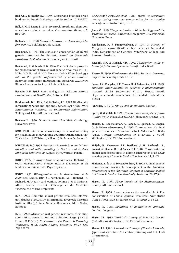**Hall S.J.G. & Bradley D.G.** 1995. Conserving livestock breed biodiversity.*Trends in Ecology and Evolution,* 10:267-270.

**Hall, S.J.G. & Ruane J.** 1993.Livestock breeds and their conservation - a global overview. *Conservation Biology*, 7, 815-825.

**Hallander, H.** 1990 *Svenska lantraser – deras betydelse förr och nu.* Bokförlaget, Bla Ankan.

**Hammond, K.** 1993.The status and conservation of animal genetic resources. In: *Reunião Anual da Sociedade Brasileira de Zootecnia*, 30. Rio de Janeiro, Brazil.

**Hammond, K. & Leitch, H.W.** 1996.The FAO global program for management of farm animal genetic resources. In: R.H. Miller, V.G. Pursel & H.D. Norman (eds.) *Biotechnology's role in the genetic improvement of farm animals.* Beltsville Symposium in Agricultural Research, XX. Savoy, Illinois,American Society of Animal Science.

**Hasnain, H.U.** 1985. Sheep and goats in Pakistan. *Animal Production and Health* 56 (E). Rome, FAO.

**Hawksworth, D.L., Kirk, P.M. & Clarke, S.D.** 1997.Biodiversity information: needs and options. *Proceedings of the 1996 International Workshop on Biodiversity Information.* Wallingford, UK, CAB International.

**Hemmes H.** 1990. *Domestication.* New York, Cambridge University Press.

**ICAR**. 1998. International workshop on animal recording for smallholders in developing countries.Anand (India) 20- 23 October 1997.Trivedi, K.R. (ed.).*Technical Series no.1.*

**ICAR/ EAAP/ FAO**. 1998.*Round table workshop: cattle identification and milk recording in Central and Eastern European countries.* 23 August. 1998,Warsaw, Poland.

**IEMVT**. 1985. *Le dromedaire et le chameau.* Richard, D. (ed.). Maisons-Alfort, France, Institut D'Elevage et de Medicine Veterinaire des Pays Tropicaux.

**IEMVT**. 1990. *Bibliographie sur le dromedaire et le chameau.* Saint-Martin, G., Nitcheman, M.F., Richard, D., Richard, M.A.(eds.), 2nd edition, Volume I & II. Maisons-Alfort, France, Institut D'Elevage et de Medicine Veterinaire des Pays Tropicaux.

**ILCA**. 1992a. Domestic animal genetic resources information database (DAGRID). International Livestock Research Institute (ILRI), Animal Genetic Resources, Addis Ababa, Ethiopia.

**ILCA**. 1992b.African animal genetic resources: their characterisation, conservation and utilisation*.* Rege, J.E.O. & Lipner, M.E. (eds.). *Proceedings of a Research Planning Workshop, ILCA, Addis Ababa, Ethiopia. 19-21 Feb. 1992.* ILCA.

**IUCN/UNEP/WWF/FAO/UNESCO**. 1980. *World conservation strategy. living resources conservation for sustainable development.* Switzerland, IUCN.

**Juma, C.** 1989. *The gene hunters - biotechnology and the scramble for seeds.* Princeton, New Jersey, USA, Princeton University Press.

**Kandasamy, N. & Panneerselvam, S.** 1997*. A survey of Kangayam cattle* (ICAR ad hoc Scheme). Namakkal, India, Department of Genetics, Veterinary College and Research Institute.

**Kaushik, S.N. & Mudgal, V.D.** 1992*. Tharparker cattle of India (A pride dual purpose breed).* India, ICAR.

**Kresse, W.** 1999.*Pferderassen der Welt.* Stuttgart,Germany, Eugen Ulmer Verlag GmbH & Co.

**Lopes, P.S., Euclydes, R.F., Torres, R. & Guimarães, S.E.F.** 1999. *Simpósio Internacional de genética e melhoramento animal, 21-24 September, Viçosa, Brazil.* Brazil, Departamento de Zootechnia, Universidade Federale de Viçosa*.*

**Lydekker, R.** 1912. *The ox and its kindred.* London.

**Lynch, M. & Walsh, B.** 1998.*Genetics and analysis of quantitative traits.* Massachusetts, USA, Sinauer Associates, Inc.

**Maijala, K., Adelsteinsson, S., Danell, B., Gjelstad, B., Vangen, O., & Neimann-Soerensen, A.** 1992. Conservation of animal genetic resources in Scandinavia. In: L.Alderson & I. Bodo (eds.), *Genetic Conservation of Livestock,* 2, 30-46*.* Wallingford, UK, CAB International.

**Maijala, K., Cherekaev, A.V., Devillard, J. M., Reklewski, Z., Rogoni, G., Simon, D.L., & Steane D.E.** 1984. Conservation of animal genetic resources in Europe.Final report of an EAAP working party, *Livestock Production Science*, 11, 3 - 22.

**Mariante, A. da S. & Fernandez-Baca, S.** 1998.Animal genetic resources and sustainable development in the Americas. *Proceedings of the 6th World Congress of Genetics Applied to Livestock Production, Armidale, Australia,* 28, 27-34.

**Mason, I.L.** 1967. *Sheep breeds of the Mediterranean.* Rome, CAB International.

**Mason I.L.** 1974. Introduction to the round table A: The conservation of animal genetic resources. *First World Congr. Genet.Appl. Livestock Prod., Madrid*, 2, 13-22.

**Mason, I.L.** 1984. *Evolution of domesticated animals.* London, Longman.

**Mason, I.L.** 1988. W*orld dictionary of livestock breeds.* (3rd edition).Wallingford, UK, CAB International.

**Mason, I.L.** 1996.*A world dictionary of livestock breeds, types and varieties* (4th edition). Wallingford, UK, CAB International.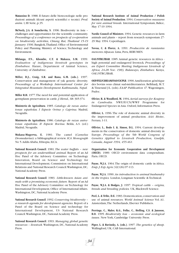**Matassino D.** 1988. Il futuro delle biotecnologie nelle produzioni animali: Alcuni aspetti scientifici e tecnici. *Prod. anim.* l, III Serie, p.35.

**McNeely, J.A. & Somchevita, S.** 1996. Biodiversity in Asia – challenges and opportunities for the scientific community. *Proceedings of a conference on prospects of co-operation on biodiversity activities, Chiang Rai, Thailand 15-19 January 1996*. Bangkok, Thailand, Office of Environmental Policy and Planning Ministry of Science, Technology and Environment.

**Mhlanga, F.N., Khombe, C.T. & Makuza, S.M.** 1999. *Evaluation of indigenous livestock genotypes in Zimbabwe.* Harare, Department of Animal Science, University of Zimbabwe.

**Miller, D.J., Craig, S.R. and Rana, G.M. (eds.)**. 1997. Conservation and management of yak genetic diversity. *Proceedings of a Workshop. International Center for Integrated Mountain Development. Kathmandu, Nepal.*

**Miller R.H.** 1977.The need for and potential application of germplasm preservation in cattle.*J. Hered.,* 68: 365-374.

**Ministerio de Agricultura**. 1985. *Catalogo de razas autoctonas españolas. I Especie Ovina y Caprina.* Madrid, Neografis.

**Ministerio de Agricultura**. 1986. *Catalogo de razas autoctonas españolas. II Especie Bovina.* Belda, A.S. (ed.) Madrid, Neografis.

**Mukasa-Mugerwa, E.** 1981. The camel (*Camelus Dromedarius*): a bibliographical review. *ICA Monograph* No 5.Addis Ababa, Ethiopia, ILCA.

**National Research Council**. 1981*. The water buffalo – new prospects for an underutilised animal.* Report of an Ad Hoc Panel of the Advisory Committee on Technology Innovation, Board on Science and Technology for International Development, Commission on International Relations and National Research Council. Washington, DC, National Academy Press.

**National Research Council**. 1983. *Little-known Asian animals with a promising economic future.* Report of an Ad Hoc Panel of the Advisory Committee on Technology for International Development, Office of International Affairs. Washington, DC, National Academy Press.

**National Research Council**. 1992. *Conserving biodiversity – a research agenda for development agencies.* Report of a Panel of the Board on Science and technology for International Development, US National Research Council.Washington, DC, National Academy Press.

**National Research Council**. 1993. *Managing global genetic resources – livestock.* Washington, DC, National Academy Press.

**National Research Institute of Animal Production / Polish Society of Animal Production**.1994.*Conservation measures for rare animal breeds.* International Symposium, Balice, May 17-19 1994.

**Nordic Council of Ministers**.1994.Genetic resources in farm animals and plants – report from research symposium 27- 29 May 1994. Copenhagen.

**Novoa, C. & Florez, A.** 1991. *Producción de rumiantes menores:Alpacas.* Lima, Peru, RERUMEN.

**OAU/STRC/IBAR**. 1985.Animal genetic resources in Africa high potential and endangered livestock*. Proceedings of an Expert Committee Meeting: Indigenous Livestock of Africa, 24-28 Nov. 1983, Bulawayo, Zimbabwe.* Kenya, OAU/STRC/IBAR.

**OEP/FEZ/CIHEAM/FAO/CICPLB**. 1990.Amélioration génétique des bovins sous climat sud-méditerranéen. Belhhadj, M.T. & Tisserand J-L. (eds). *EAAP Publication* 47.Wageningen, Pudoc.

**Olivier, R. & Woodford, M.** 1994*.Aerial surveys for Kouprey in Cambodia.* NWF/IUCN/WWF Programme for Endangered Species in Asia. Oxford, Information Press.

**Ollivier, L.** 1996.The role of domestic animal diversity in the improvement of animal production. *AAA Biotec*, Ferrara, 1-11.

**Ollivier, L., Bodo I. &. Simon, D.L.** 1994. Current developments in the conservation of domestic animal diversity in Europe. *Proceedings of the 5th World Congress of Genetics Applied to Livestock Production, Guelph, Canada, August 1994, 455-461*.

**Organization for Economic Cooperation and Development (OECD)**. 1989. OECD environment data compendium. Paris, OECD.

Payne, W.J.A. 1964. The origin of domestic cattle in Africa. *Emp. J. Exp.Agric*.32(126):97-113.

**Payne, W.J.A.** 1990.*An introduction to animal husbandry in the tropics.* London, Longman Scientific & Technical.

**Payne, W.J.A. & Hodges, J.** 1997. *Tropical cattle – origins, breeds and breeding policies.* UK, Blackwell Science.

Peel, L. & Tribe, D.E. 1983. Domestication, conservation and use of animal resources. *World Animal Science* Vol. A1. Amsterdam,The Netherlands, Elsevier Publishers.

**Perrings, C., Maler, K.G., Folke, C., Holling, C.S. & Jansson, B.O.** 1995*. Biodiversity loss – economic and ecological issues.* New York, Cambridge University Press.

**Piper, L. & Ruvinsky, A. (eds.)**. 1997. *The genetics of sheep.* Wallingford, UK, CAB International.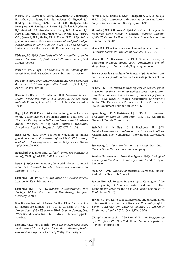**Pisenti, J.M., Delany, M.E., Taylor, R.L., Abbott, U.K., Abplanalp, H., Arthur, J.A., Bakst, M.R., Baxter-Jones, C., Bitgood, J.J., Bradley, F.A., Cheng, K.M., Dietert, R.R., Dodgson, J.B., Donoghue, A.M., Emsley, A.B., Etches, R.J., Frahm, R.R., Gerrits, R.J., Goetinck, P.F., Grunder, A.A., Harry, D.E., Lamont, S.J., Martin, G.R., McGuire, P.E., Moberg, G.P., Pierro, L.J., Qualset, C.O., Qureshi, M.A., Shultz, F.T. & Wilson, B.W.** 1999. *Avian genetic resources at risk:an assessment and proposal for conservation of genetic stocks in the USA and Canada.* University of California Genetic Resources Program, USA.

**Périquet, J.C.** 1995*. Standards officiels – volailles grandes races, oies, canards, pintades et dindons.* France, Scaf Modèle déposé.

**Porter, V.** 1993. *Pigs - a handbook to the breeds of the world.* New York, USA, Comstock Publishing Associates.

**Pro Specie Rara**. 1995. Landwirtschaftliche Genressourcen der Alpen. *Bristol-Schriftenreihe Band 4.* (G, F, I, Sl). Zurich, Bristol-Stiftung.

**Ramsay, K., Harris, L. & Kotzé, A.** 2000. *Landrace breeds: South Africa's indigenous and locally developed farm animals.* Pretoria, South Africa, Farm Animal Conservation Trust.

**Rege, J.E.O.** 1998.The contribution of indigenous livestock to the economies of Sub-Saharan African countries. In: *Livestock Development Policies in Eastern and Southern Africa, Proceedings Regional Seminar, Mbabane, Swaziland, July 28 - August 1. 1997.* CTA, 91-108.

**Rege, J.E.O. (ed.)**. 1999. Economic valuation of animal genetic resources. *Proceedings of an FAO/ILRI Workshop held at FAO Headquarters, Rome, Italy, 15-17 March 1999.* Nairobi, ILRI.

**Rothschild, M.F. & Ruvinsky, A. (eds.)**. 1998. *The genetics of the pig.* Wallingford, UK, CAB International.

**Ruane, J.** 1993. Documenting the world's domestic animal resources. *Animal Genetic Resources Information Bulletin* 11, 13-21.

**Sambraus, H.H.** 1992. *A colour atlas of livestock breeds.* London,Wolfe Publishing Ltd.

**Sambraus, H.H.** 1994. *Gefährdete Nutztierrassen: Ihre Zuchtgeschichte, Nutzung und Bewahrung.* Stuttgart, Germany, Ulmer.

**Scandinavian Institute of African Studies**. 1984.The camelid an all-purpose animal. Vols. I & II. Cockrill, W.R. (ed.). *Proceedings of the Khartoum Workshop on Camels, Dec. 1979.* Scandinavian Institute of African Studies, Uppsala, Sweden.

**Schwartz, H.J. & Dioli, M. (eds.)**.1992.*The one-humped camel in Eastern Africa – A pictorial guide to diseases, health care and management.*Germany,Verlag,Josef Margraf.

**Serrano, E.R., Bermejo, J.V.D., Franganillo, A.R. & Vallejo, M.E.C.** 1995. Conservacion de razas autoctonas andaluzas en peligro de extincion. *Monografias* 11/94.

**Shrestha, J.N.B. & Hansen, C.** 1998. Canada's animal genetic resources: cattle breeds in Canada. *Technical Bulletin 1998-2E,* Centre for Food and Animal Research contribution number 98-04.

Simon, D.L. 1984. Conservation of animal genetic resources - a review. *Livestock Production Science*, 11, 23 - 36.

**Simon, D.L. & Buchenauer, D.** 1993. Genetic diversity of European livestock breeds. *EAAP Publication* No 66. Wageningen,The Netherlands,Wageningen Press**.**

**Societe centrale d'aviculture de France.** 1995. Standards officiels: volailles grandes races, oies, canards, pintades et dindons.

**Somes, R.G.** 1988.*International registry of poultry genetic stocks - a directory of specialized lines and strains, mutations, breeds and varieties of chickens, Japanese Quail and turkeys.* Storrs Agricultural Experiment Station,The University of Connecticut Storrs, Connecticut 06268, Document Number Bulletin 476**.**

**Sponenberg, D.P., & Christman, C.J.** 1995. *A conservation breeding handbook.* Pittsboro, USA, The American Livestock Breeds Conservancy.

**Steinfeld, H., de Haan, C. & Blackburn, H.** 1998. *Livestock–environment interactions – issues and options.* Wageningen, The Netherlands, International Agricultural Centre.

**Stromberg, L.** 1996. *Poultry of the world.* Port Perry, Canada, Silvio Mattacchione and Company.

**Swedish Environmental Protection Agency**. 1993. *Biological diversity in Sweden – a country study.* Sweden, Ingvar Bingman.

**Syed, K.S.** 1991*. Buffaloes of Pakistan.*Islamabad, Pakistan Agricultural Research Council.

**Taiwan Livestock Research Institute**. 1991. Catalogue of the native poultry of Southeast Asia. Food and Fertilizer Technology Center for the Asian and Pacific Region, *FFTC Book Series No.43*.

Turton, J.D. 1974. The collection, storage and dissemination of information on breeds of livestock. *Proceedings of 1st World Congress On Genetics Applied To Livestock Production, Madrid, 7-11 Oct. 1974, 61-74.*

**UN**. 1992. *Agenda 21 – The United Nations Programme of Action from Rio.* New York,United Nations Department of Public Information.